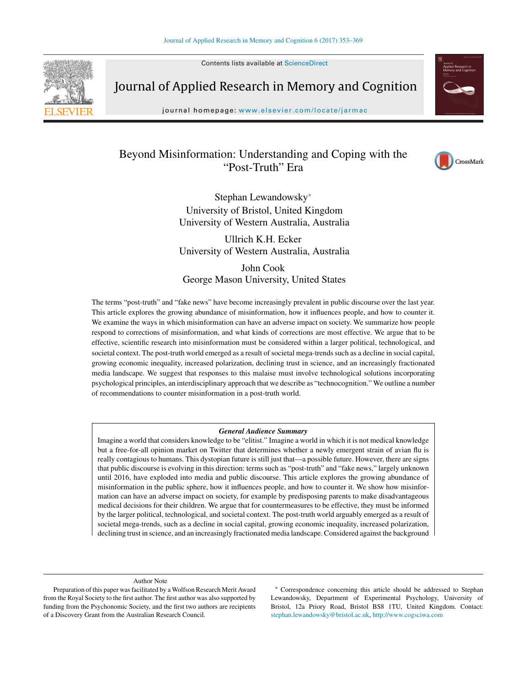Contents lists available at [ScienceDirect](http://www.sciencedirect.com/science/journal/22113681)



Journal of Applied Research in Memory and Cognition



journal homepage: [www.elsevier.com/locate/jarmac](http://www.elsevier.com/locate/jarmac)

# Beyond Misinformation: Understanding and Coping with the "Post-Truth" Era



Stephan Lewandowsky<sup>∗</sup> University of Bristol, United Kingdom University of Western Australia, Australia

Ullrich K.H. Ecker University of Western Australia, Australia

John Cook George Mason University, United States

The terms "post-truth" and "fake news" have become increasingly prevalent in public discourse over the last year. This article explores the growing abundance of misinformation, how it influences people, and how to counter it. We examine the ways in which misinformation can have an adverse impact on society. We summarize how people respond to corrections of misinformation, and what kinds of corrections are most effective. We argue that to be effective, scientific research into misinformation must be considered within a larger political, technological, and societal context. The post-truth world emerged as a result of societal mega-trends such as a decline in social capital, growing economic inequality, increased polarization, declining trust in science, and an increasingly fractionated media landscape. We suggest that responses to this malaise must involve technological solutions incorporating psychological principles, an interdisciplinary approach that we describe as "technocognition." We outline a number of recommendations to counter misinformation in a post-truth world.

# *General Audience Summary*

Imagine a world that considers knowledge to be "elitist." Imagine a world in which it is not medical knowledge but a free-for-all opinion market on Twitter that determines whether a newly emergent strain of avian flu is really contagious to humans. This dystopian future is still just that—a possible future. However, there are signs that public discourse is evolving in this direction: terms such as "post-truth" and "fake news," largely unknown until 2016, have exploded into media and public discourse. This article explores the growing abundance of misinformation in the public sphere, how it influences people, and how to counter it. We show how misinformation can have an adverse impact on society, for example by predisposing parents to make disadvantageous medical decisions for their children. We argue that for countermeasures to be effective, they must be informed by the larger political, technological, and societal context. The post-truth world arguably emerged as a result of societal mega-trends, such as a decline in social capital, growing economic inequality, increased polarization, declining trust in science, and an increasingly fractionated media landscape. Considered against the background

#### Author Note

Preparation of this paper wasfacilitated by a Wolfson Research Merit Award from the Royal Society to the first author. The first author was also supported by funding from the Psychonomic Society, and the first two authors are recipients of a Discovery Grant from the Australian Research Council.

∗ Correspondence concerning this article should be addressed to Stephan Lewandowsky, Department of Experimental Psychology, University of Bristol, 12a Priory Road, Bristol BS8 1TU, United Kingdom. Contact: [stephan.lewandowsky@bristol.ac.uk](mailto:stephan.lewandowsky@bristol.ac.uk), <http://www.cogsciwa.com>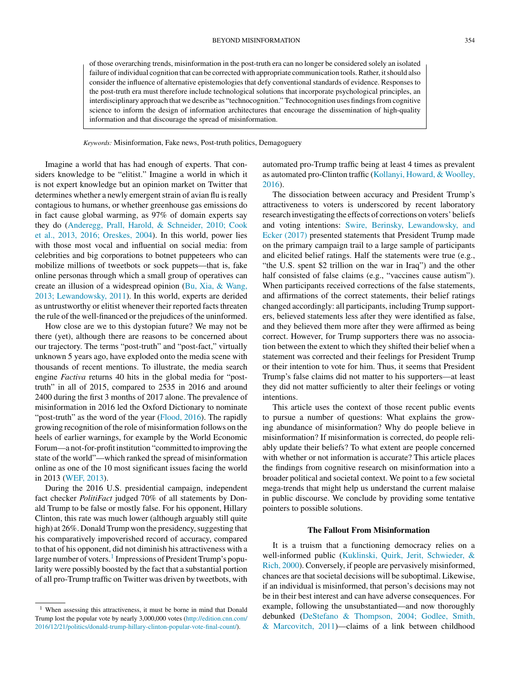of those overarching trends, misinformation in the post-truth era can no longer be considered solely an isolated failure of individual cognition that can be corrected with appropriate communication tools. Rather, it should also consider the influence of alternative epistemologies that defy conventional standards of evidence. Responses to the post-truth era must therefore include technological solutions that incorporate psychological principles, an interdisciplinary approach that we describe as "technocognition." Technocognition uses findings from cognitive science to inform the design of information architectures that encourage the dissemination of high-quality information and that discourage the spread of misinformation.

*Keywords:* Misinformation, Fake news, Post-truth politics, Demagoguery

Imagine a world that has had enough of experts. That considers knowledge to be "elitist." Imagine a world in which it is not expert knowledge but an opinion market on Twitter that determines whether a newly emergent strain of avian flu is really contagious to humans, or whether greenhouse gas emissions do in fact cause global warming, as 97% of domain experts say they do (Anderegg, Prall, Harold, & Schneider, 2010; Cook et al., 2013, 2016; Oreskes, 2004). In this world, power lies with those most vocal and influential on social media: from celebrities and big corporations to botnet puppeteers who can mobilize millions of tweetbots or sock puppets—that is, fake online personas through which a small group of operatives can create an illusion of a widespread opinion (Bu, Xia, & Wang, 2013; Lewandowsky, 2011). In this world, experts are derided as untrustworthy or elitist whenever their reported facts threaten the rule of the well-financed or the prejudices of the uninformed.

How close are we to this dystopian future? We may not be there (yet), although there are reasons to be concerned about our trajectory. The terms "post-truth" and "post-fact," virtually unknown 5 years ago, have exploded onto the media scene with thousands of recent mentions. To illustrate, the media search engine *Factiva* returns 40 hits in the global media for "posttruth" in all of 2015, compared to 2535 in 2016 and around 2400 during the first 3 months of 2017 alone. The prevalence of misinformation in 2016 led the Oxford Dictionary to nominate "post-truth" as the word of the year ([Flood,](#page-13-0) 2016). The rapidly growing recognition of the role of misinformation follows on the heels of earlier warnings, for example by the World Economic Forum—a not-for-profit institution "committed to improving the state of the world"—which ranked the spread of misinformation online as one of the 10 most significant issues facing the world in 2013 (WEF, [2013\).](#page-16-0)

During the 2016 U.S. presidential campaign, independent fact checker *PolitiFact* judged 70% of all statements by Donald Trump to be false or mostly false. For his opponent, Hillary Clinton, this rate was much lower (although arguably still quite high) at 26%. Donald Trump won the presidency, suggesting that his comparatively impoverished record of accuracy, compared to that of his opponent, did not diminish his attractiveness with a large number of voters.<sup>1</sup> Impressions of President Trump's popularity were possibly boosted by the fact that a substantial portion of all pro-Trump traffic on Twitter was driven by tweetbots, with automated pro-Trump traffic being at least 4 times as prevalent as automated pro-Clinton traffic ([Kollanyi,](#page-14-0) Howard, & Woolley, 2016).

The dissociation between accuracy and President Trump's attractiveness to voters is underscored by recent laboratory research investigating the effects of corrections on voters' beliefs and voting [intentions:](#page-12-0) Swire, Berinsky, [Lewandowsky,](#page-16-0) and Ecker (2017) presented statements that President Trump made on the primary campaign trail to a large sample of participants and elicited belief ratings. Half the statements were true (e.g., "the U.S. spent \$2 trillion on the war in Iraq") and the other half consisted of false claims (e.g., "vaccines cause autism"). When [participants](#page-12-0) received corrections of the false statements, and affirmations of the correct statements, their belief ratings changed accordingly: all participants, including Trump supporters, believed statements less after they were identified as false, and they believed them more after they were affirmed as being correct. However, for Trump supporters there was no association between the extent to which they shifted their belief when a statement was corrected and their feelings for President Trump or their intention to vote for him. Thus, it seems that President Trump's false claims did not matter to his supporters—at least they did not matter sufficiently to alter their feelings or voting intentions.

This article uses the context of those recent public events to pursue a number of questions: What explains the growing abundance of misinformation? Why do people believe in misinformation? If misinformation is corrected, do people reliably update their beliefs? To what extent are people concerned with whether or not information is accurate? This article places the findings from cognitive research on misinformation into a broader political and societal context. We point to a few societal mega-trends that might help us understand the current malaise in public discourse. We conclude by providing some tentative pointers to possible solutions.

## **The Fallout From Misinformation**

It is a truism that a functioning democracy relies on a well-informed public (Kuklinski, Quirk, Jerit, [Schwieder,](#page-14-0) & Rich, 2000). Conversely, if people are pervasively misinformed, chances are that societal decisions will be suboptimal. Likewise, if an individual is misinformed, that person's decisions may not be in their best interest and can have adverse consequences. For example, following the unsubstantiated—and now thoroughly debunked (DeStefano & [Thompson,](#page-13-0) 2004; Godlee, Smith, & Marcovitch, 2011)—claims of a link between childhood

<sup>&</sup>lt;sup>1</sup> When assessing this attractiveness, it must be borne in mind that Donald Trump lost the popular vote by nearly 3,000,000 votes [\(http://edition.cnn.com/](http://edition.cnn.com/2016/12/21/politics/donald-trump-hillary-clinton-popular-vote-final-count/) [2016/12/21/politics/donald-trump-hillary-clinton-popular-vote-final-count/](http://edition.cnn.com/2016/12/21/politics/donald-trump-hillary-clinton-popular-vote-final-count/)).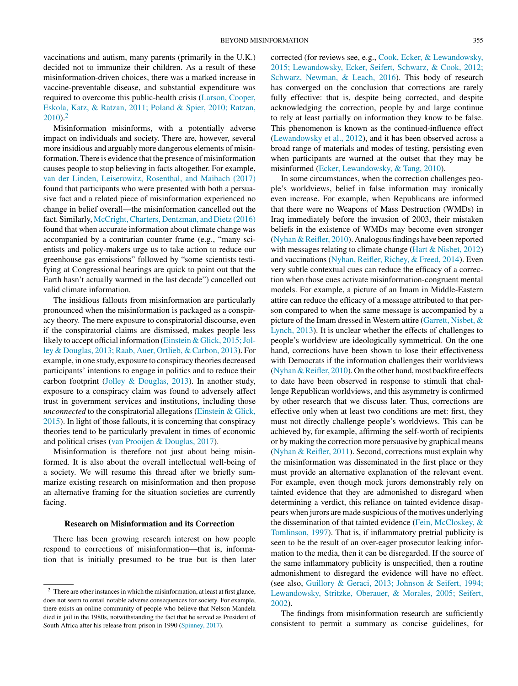vaccinations and autism, many parents (primarily in the U.K.) decided not to immunize their children. As a result of these misinformation-driven choices, there was a marked increase in vaccine-preventable disease, and substantial expenditure was required to overcome this public-health crisis (Larson, Cooper, Eskola, Katz, & Ratzan, 2011; Poland & Spier, 2010; Ratzan,  $2010$ .<sup>2</sup>

Misinformation misinforms, with a potentially adverse impact on individuals and society. There are, however, several more insidious and arguably more dangerous elements of misinformation. There is evidence that the presence of misinformation causes people to stop believing in facts altogether. For example, van der Linden, [Leiserowitz,](#page-16-0) Rosenthal, and Maibach (2017) found that participants who were presented with both a persuasive fact and a related piece of misinformation experienced no change in belief overall—the misinformation cancelled out the fact. Similarly, McCright, Charters, Dentzman, and Dietz (2016) found that when accurate information about climate change was accompanied by a contrarian counter frame (e.g., "many scientists and policy-makers urge us to take action to reduce our greenhouse gas emissions" followed by "some scientists testifying at Congressional hearings are quick to point out that the Earth hasn't actually warmed in the last decade") cancelled out valid climate information.

The insidious fallouts from misinformation are particularly pronounced when the misinformation is packaged as a conspiracy theory. The mere exposure to conspiratorial discourse, even if the conspiratorial claims are dismissed, makes people less likely to accept official information (Einstein & Glick, 2015; Jolley & Douglas, 2013; Raab, Auer, Ortlieb, & Carbon, 2013). For example, in one study, exposure to conspiracy theories decreased participants' intentions to engage in politics and to reduce their carbon footprint (Jolley & [Douglas,](#page-14-0) 2013). In another study, exposure to a conspiracy claim was found to adversely affect trust in government services and institutions, including those *unconnected* to the conspiratorial allegations ([Einstein](#page-13-0) & Glick, 2015). In light of those fallouts, it is concerning that conspiracy theories tend to be particularly prevalent in times of economic and political crises (van Prooijen & [Douglas,](#page-16-0) 2017).

Misinformation is therefore not just about being misinformed. It is also about the overall intellectual well-being of a society. We will resume this thread after we briefly summarize existing research on misinformation and then propose an alternative framing for the situation societies are currently facing.

### **Research on Misinformation and its Correction**

There has been growing research interest on how people respond to corrections of misinformation—that is, information that is initially presumed to be true but is then later corrected (for reviews see, e.g., Cook, Ecker, & [Lewandowsky,](#page-12-0) 2015; Lewandowsky, Ecker, Seifert, Schwarz, & Cook, 2012; Schwarz, Newman, & Leach, 2016). This body of research has converged on the conclusion that corrections are rarely fully effective: that is, despite being [corrected,](#page-14-0) and despite acknowledging the correction, people by and large continue to rely at least partially on information they know to be false. This phenomenon is known as the continued-influence effect [\(Lewandowsky](#page-14-0) et al., 2012), and it has been observed across a broad range of materials and modes of testing, persisting even when participants are warned at the outset that they may be misinformed (Ecker, [Lewandowsky,](#page-13-0) & Tang, 2010).

In some circumstances, when the correction challenges people's worldviews, belief in false information may ironically even increase. For example, when Republicans are informed that there were no Weapons of Mass Destruction (WMDs) in Iraq immediately before the invasion of 2003, their mistaken beliefs in the existence of WMDs may become even stronger (Nyhan & [Reifler,](#page-15-0) 2010). Analogous findings have been reported with messages relating to climate change (Hart & [Nisbet,](#page-14-0) 2012) and vaccinations (Nyhan, Reifler, [Richey,](#page-15-0) & Freed, 2014). Even very subtle contextual cues can reduce the efficacy of a correction when those cues activate misinformation-congruent mental models. For example, a picture of an Imam in Middle-Eastern attire can reduce the efficacy of a message attributed to that person compared to when the same message is accompanied by a picture of the Imam dressed in Western attire [\(Garrett,](#page-13-0) Nisbet, & Lynch, 2013). It is unclear whether the effects of challenges to people's worldview are [ideologically](#page-13-0) symmetrical. On the one hand, corrections have been shown to lose their effectiveness with Democrats if the information challenges their worldviews (Nyhan & Reifler, 2010). On the other hand, most backfire effects to date have been observed in response to stimuli that challenge Republican worldviews, and this asymmetry is confirmed by other research that we discuss later. Thus, corrections are effective only when at least two conditions are met: first, they must not directly challenge people's worldviews. This can be achieved by, for example, affirming the self-worth of recipients or by making the correction more persuasive by graphical means (Nyhan & [Reifler,](#page-15-0) 2011). Second, corrections must explain why the misinformation was disseminated in the first place or they must provide an alternative explanation of the relevant event. For example, even though mock jurors demonstrably rely on tainted evidence that they are admonished to disregard when determining a verdict, this reliance on tainted evidence disappears when jurors are made suspicious of the motives underlying the dissemination of that tainted evidence (Fein, [McCloskey,](#page-13-0) & Tomlinson, 1997). That is, if inflammatory pretrial publicity is seen to be the result of an over-eager prosecutor leaking information to the media, then it can be disregarded. If the source of the same inflammatory publicity is unspecified, then a routine admonishment to disregard the evidence will have no effect. (see also, [Guillory](#page-13-0) & Geraci, 2013; Johnson & Seifert, 1994; Lewandowsky, Stritzke, Oberauer, & Morales, 2005; Seifert, 2002).

The findings from misinformation research are sufficiently consistent to permit a summary as concise guidelines, for

 $2$  There are other instances in which the misinformation, at least at first glance, does not seem to entail notable adverse consequences for society. For example, there exists an online community of people who believe that Nelson Mandela died in jail in the 1980s, notwithstanding the fact that he served as President of South Africa after his release from prison in 1990 ([Spinney,](#page-16-0) 2017).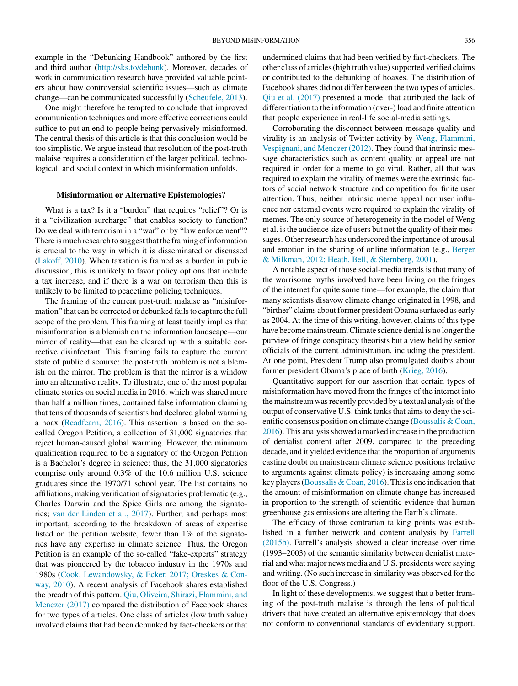example in the "Debunking Handbook" authored by the first and third author ([http://sks.to/debunk](http://www.sks.to/debunk)). Moreover, decades of work in communication research have provided valuable pointers about how controversial scientific issues—such as climate change—can be communicated successfully [\(Scheufele,](#page-15-0) 2013).

One might therefore be tempted to conclude that improved communication techniques and more effective corrections could suffice to put an end to people being pervasively misinformed. The central thesis of this article is that this conclusion would be too simplistic. We argue instead that resolution of the post-truth malaise requires a consideration of the larger political, technological, and social context in which misinformation unfolds.

## **Misinformation or Alternative Epistemologies?**

What is a tax? Is it a "burden" that requires "relief"? Or is it a "civilization surcharge" that enables society to function? Do we deal with terrorism in a "war" or by "law enforcement"? There is much research to suggest that the framing of information is crucial to the way in which it is disseminated or discussed [\(Lakoff,](#page-14-0) 2010). When taxation is framed as a burden in public discussion, this is unlikely to favor policy options that include a tax increase, and if there is a war on terrorism then this is unlikely to be limited to peacetime policing techniques.

The framing of the current post-truth malaise as "misinformation" that can be corrected or debunked fails to capture the full scope of the problem. This framing at least tacitly implies that misinformation is a blemish on the information landscape—our mirror of reality—that can be cleared up with a suitable corrective disinfectant. This framing fails to capture the current state of public discourse: the post-truth problem is not a blemish on the mirror. The problem is that the mirror is a window into an alternative reality. To illustrate, one of the most popular climate stories on social media in 2016, which was shared more than half a million times, contained false information claiming that tens of thousands of scientists had declared global warming a hoax ([Readfearn,](#page-15-0) 2016). This assertion is based on the socalled Oregon Petition, a collection of 31,000 signatories that reject human-caused global warming. However, the minimum qualification required to be a signatory of the Oregon Petition is a Bachelor's degree in science: thus, the 31,000 signatories comprise only around 0.3% of the 10.6 million U.S. science graduates since the 1970/71 school year. The list contains no affiliations, making verification of signatories problematic (e.g., Charles Darwin and the Spice Girls are among the signatories; van der [Linden](#page-16-0) et al., 2017). Further, and perhaps most important, according to the breakdown of areas of expertise listed on the petition website, fewer than 1% of the signatories have any expertise in climate science. Thus, the Oregon Petition is an example of the so-called "fake-experts" strategy that was pioneered by the tobacco industry in the 1970s and 1980s (Cook, [Lewandowsky,](#page-12-0) & Ecker, 2017; Oreskes & Conway, 2010). A recent analysis of Facebook shares established the breadth of this pattern. Qiu, Oliveira, Shirazi, [Flammini,](#page-15-0) and Menczer (2017) compared the distribution of Facebook shares for two types of articles. One class of articles (low truth value) involved claims that had been debunked by fact-checkers or that undermined claims that had been verified by fact-checkers. The other class of articles (high truth value) supported verified claims or contributed to the debunking of hoaxes. The distribution of Facebook shares did not differ between the two types of articles. Qiu et al. [\(2017\)](#page-15-0) presented a model that attributed the lack of differentiation to the information (over-) load and finite attention that people experience in real-life social-media settings.

Corroborating the disconnect between message quality and virality is an analysis of Twitter activity by Weng, [Flammini,](#page-16-0) Vespignani, and Menczer (2012). They found that intrinsic message characteristics such as content quality or appeal are not required in order for a meme to go viral. Rather, all that was required to explain the virality of memes were the extrinsic factors of social network structure and competition for finite user attention. Thus, neither intrinsic meme appeal nor user influence nor external events were required to explain the virality of memes. The only source of heterogeneity in the model of Weng et al. isthe audience size of users but not the quality of their messages. Other research has underscored the importance of arousal and emotion in the sharing of online information (e.g., [Berger](#page-12-0) & Milkman, 2012; Heath, Bell, & Sternberg, 2001).

A notable aspect of those social-media trends is that many of the worrisome myths involved have been living on the fringes of the internet for quite some time—for example, the claim that many scientists disavow climate change originated in 1998, and "birther" claims about former president Obama surfaced as early as 2004. At the time of this writing, however, claims of this type have become mainstream. Climate science denial is no longer the purview of fringe conspiracy theorists but a view held by senior officials of the current administration, including the president. At one point, President Trump also promulgated doubts about former president Obama's place of birth [\(Krieg,](#page-14-0) 2016).

Quantitative support for our assertion that certain types of misinformation have moved from the fringes of the internet into the mainstream was recently provided by a textual analysis of the output of conservative U.S. think tanks that aims to deny the sci-entific consensus position on climate change [\(Boussalis](#page-12-0) & Coan, 2016). This analysis showed a marked increase in the production of denialist content after 2009, compared to the preceding decade, and it yielded evidence that the proportion of arguments casting doubt on mainstream climate science positions (relative to arguments against climate policy) is increasing among some key players [\(Boussalis](#page-12-0) & Coan, 2016). This is one indication that the amount of misinformation on climate change has increased in proportion to the strength of scientific evidence that human greenhouse gas emissions are altering the Earth's climate.

The efficacy of those contrarian talking points was established in a further network and content analysis by [Farrell](#page-13-0) (2015b). Farrell's analysis showed a clear increase over time (1993–2003) of the semantic similarity between denialist material and what major news media and U.S. presidents were saying and writing. (No such increase in similarity was observed for the floor of the U.S. Congress.)

In light of these developments, we suggest that a better framing of the post-truth malaise is through the lens of political drivers that have created an alternative epistemology that does not conform to conventional standards of evidentiary support.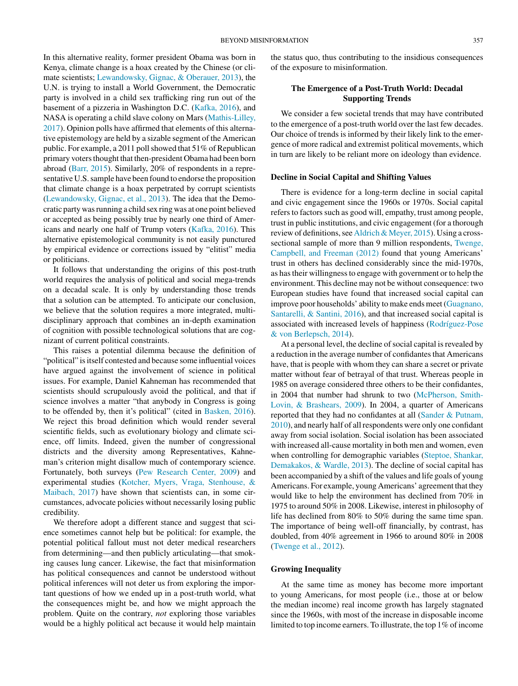In this alternative reality, former president Obama was born in Kenya, climate change is a hoax created by the Chinese (or climate scientists; [Lewandowsky,](#page-14-0) Gignac, & Oberauer, 2013), the U.N. is trying to install a World Government, the Democratic party is involved in a child sex trafficking ring run out of the basement of a pizzeria in Washington D.C. [\(Kafka,](#page-14-0) 2016), and NASA is operating a child slave colony on Mars [\(Mathis-Lilley,](#page-15-0) 2017). Opinion polls have affirmed that elements of this alternative epistemology are held by a sizable segment of the American public. For example, a 2011 pollshowed that 51% of Republican primary voters thought that then-president Obama had been born abroad (Barr, [2015\).](#page-12-0) Similarly, 20% of respondents in a representative U.S. sample have been found to endorse the proposition that climate change is a hoax perpetrated by corrupt scientists [\(Lewandowsky,](#page-14-0) Gignac, et al., 2013). The idea that the Democratic party was running a child sex ring was at one point believed or accepted as being possibly true by nearly one third of Americans and nearly one half of Trump voters ([Kafka,](#page-14-0) 2016). This alternative epistemological community is not easily punctured by empirical evidence or corrections issued by "elitist" media or politicians.

It follows that understanding the origins of this post-truth world requires the analysis of political and social mega-trends on a decadal scale. It is only by understanding those trends that a solution can be attempted. To anticipate our conclusion, we believe that the solution requires a more integrated, multidisciplinary approach that combines an in-depth examination of cognition with possible technological solutions that are cognizant of current political constraints.

This raises a potential dilemma because the definition of "political" is itself contested and because some influential voices have argued against the involvement of science in political issues. For example, Daniel Kahneman has recommended that scientists should scrupulously avoid the political, and that if science involves a matter "that anybody in Congress is going to be offended by, then it's political" (cited in [Basken,](#page-12-0) 2016). We reject this broad definition which would render several scientific fields, such as evolutionary biology and climate science, off limits. Indeed, given the number of congressional districts and the diversity among Representatives, Kahneman's criterion might disallow much of contemporary science. Fortunately, both surveys (Pew [Research](#page-15-0) Center, 2009) and experimental studies (Kotcher, Myers, Vraga, [Stenhouse,](#page-14-0) & Maibach, 2017) have shown that scientists can, in some circumstances, advocate policies without necessarily losing public credibility.

We therefore adopt a different stance and suggest that science sometimes cannot help but be political: for example, the potential political fallout must not deter medical researchers from determining—and then publicly articulating—that smoking causes lung cancer. Likewise, the fact that misinformation has political consequences and cannot be understood without political inferences will not deter us from exploring the important questions of how we ended up in a post-truth world, what the consequences might be, and how we might approach the problem. Quite on the contrary, *not* exploring those variables would be a highly political act because it would help maintain

the status quo, thus contributing to the insidious consequences of the exposure to misinformation.

# **The Emergence of a Post-Truth World: Decadal Supporting Trends**

We consider a few societal trends that may have contributed to the emergence of a post-truth world over the last few decades. Our choice of trends is informed by their likely link to the emergence of more radical and extremist political movements, which in turn are likely to be reliant more on ideology than evidence.

# **Decline in Social Capital and Shifting Values**

There is evidence for a long-term decline in social capital and civic engagement since the 1960s or 1970s. Social capital refers to factors such as good will, empathy, trust among people, trust in public institutions, and civic engagement (for a thorough review of definitions, see Aldrich & Meyer, 2015). Using a crosssectional sample of more than 9 million respondents, [Twenge,](#page-16-0) Campbell, and Freeman (2012) found that young Americans' trust in others has declined considerably since the mid-1970s, as hastheir willingnessto engage with government or to help the environment. This decline may not be without consequence: two European studies have found that increased social capital can improve poor households' ability to make ends meet[\(Guagnano,](#page-13-0) Santarelli, & Santini, 2016), and that increased social capital is associated with increased levels of happiness [\(Rodríguez-Pose](#page-15-0) & von Berlepsch, 2014).

At a personal level, the decline of social capital is revealed by a reduction in the average number of confidantes that Americans have, that is people with whom they can share a secret or private matter without fear of betrayal of that trust. Whereas people in 1985 on average considered three others to be their confidantes, in 2004 that number had shrunk to two ([McPherson,](#page-15-0) Smith-Lovin, & Brashears, 2009). In 2004, a quarter of Americans reported that they had no confidantes at all (Sander & [Putnam,](#page-15-0) 2010), and nearly half of all respondents were only one confidant away from social isolation. Social isolation has been associated with increased all-cause mortality in both men and women, even when controlling for demographic variables (Steptoe, [Shankar,](#page-16-0) Demakakos, & Wardle, 2013). The decline of social capital has been accompanied by a shift of the values and life goals of young Americans. For example, young Americans' agreement that they would like to help the environment has declined from 70% in 1975 to around 50% in 2008. Likewise, interest in philosophy of life has declined from 80% to 50% during the same time span. The importance of being well-off financially, by contrast, has doubled, from 40% agreement in 1966 to around 80% in 2008 [\(Twenge](#page-16-0) et al., 2012).

# **Growing Inequality**

At the same time as money has become more important to young Americans, for most people (i.e., those at or below the median income) real income growth has largely stagnated since the 1960s, with most of the increase in disposable income limited to top income earners. To illustrate, the top 1% of income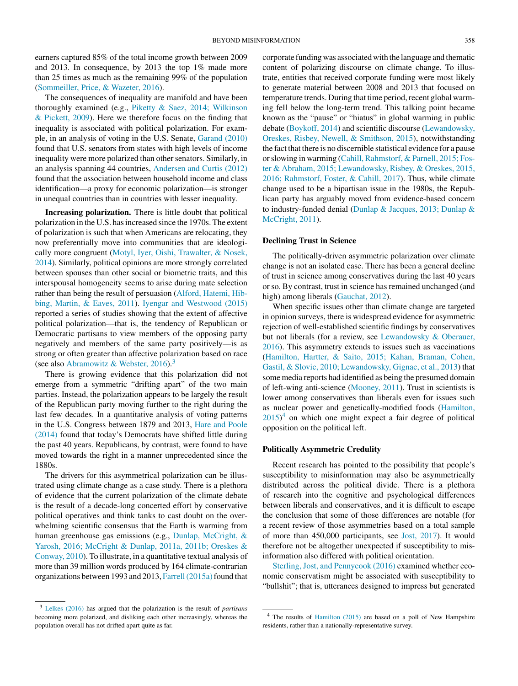earners captured 85% of the total income growth between 2009 and 2013. In consequence, by 2013 the top 1% made more than 25 times as much as the remaining 99% of the population [\(Sommeiller,](#page-16-0) Price, & Wazeter, 2016).

The consequences of inequality are manifold and have been thoroughly examined (e.g., Piketty & Saez, 2014; [Wilkinson](#page-15-0) & Pickett, 2009). Here we therefore focus on the finding that inequality is associated with political polarization. For example, in an analysis of voting in the U.S. Senate, [Garand](#page-13-0) (2010) found that U.S. senators from states with high levels of income inequality were more polarized than other senators. Similarly, in an analysis spanning 44 countries, [Andersen](#page-12-0) and Curtis (2012) found that the association between household income and class identification—a proxy for economic polarization—is stronger in unequal countries than in countries with lesser inequality.

**Increasing polarization.** There is little doubt that political polarization in the U.S. hasincreased since the 1970s. The extent of polarization is such that when Americans are relocating, they now preferentially move into communities that are ideologically more congruent (Motyl, Iyer, Oishi, [Trawalter,](#page-15-0) & Nosek, 2014). Similarly, political opinions are more strongly correlated between spouses than other social or biometric traits, and this interspousal homogeneity seems to arise during mate selection rather than being the result of persuasion (Alford, [Hatemi,](#page-12-0) Hibbing, Martin, & Eaves, 2011). Iyengar and [Westwood](#page-14-0) (2015) reported a series of studies showing that the extent of affective political polarization—that is, the tendency of Republican or Democratic partisans to view members of the opposing party negatively and members of the same party positively—is as strong or often greater than affective polarization based on race (see also [Abramowitz](#page-12-0) & Webster, 2016).<sup>3</sup>

There is growing evidence that this polarization did not emerge from a symmetric "drifting apart" of the two main parties. Instead, the polarization appears to be largely the result of the Republican party moving further to the right during the last few decades. In a quantitative analysis of voting patterns in the U.S. Congress between 1879 and 2013, Hare and [Poole](#page-13-0) (2014) found that today's Democrats have shifted little during the past 40 years. Republicans, by contrast, were found to have moved towards the right in a manner unprecedented since the 1880s.

The drivers for this asymmetrical polarization can be illustrated using climate change as a case study. There is a plethora of evidence that the current polarization of the climate debate is the result of a decade-long concerted effort by conservative political operatives and think tanks to cast doubt on the overwhelming scientific consensus that the Earth is warming from human greenhouse gas emissions (e.g., Dunlap, McCright, & Yarosh, 2016; McCright & Dunlap, 2011a, 2011b; Oreskes & Conway, 2010). To illustrate, in a quantitative textual analysis of more than 39 million words produced by 164 climate-contrarian organizations between 1993 and 2013, Farrell  $(2015a)$  found that corporate funding was associated with the language and thematic content of polarizing discourse on climate change. To illustrate, entities that received corporate funding were most likely to generate material between 2008 and 2013 that focused on temperature trends. During that time period, recent global warming fell below the long-term trend. This talking point became known as the "pause" or "hiatus" in global warming in public debate [\(Boykoff,](#page-12-0) 2014) and scientific discourse ([Lewandowsky,](#page-14-0) Oreskes, Risbey, Newell, & Smithson, 2015), notwithstanding the fact that there is no discernible statistical evidence for a pause orslowing in warming (Cahill, [Rahmstorf,](#page-12-0) & Parnell, 2015; Foster & Abraham, 2015; Lewandowsky, Risbey, & Oreskes, 2015, 2016; Rahmstorf, Foster, & Cahill, 2017). Thus, while climate change used to be a bipartisan issue in the 1980s, the Republican party has arguably moved from evidence-based concern to industry-funded denial (Dunlap & [Jacques,](#page-13-0) 2013; Dunlap & McCright, 2011).

# **Declining Trust in Science**

The politically-driven asymmetric polarization over climate change is not an isolated case. There has been a general decline of trust in science among conservatives during the last 40 years or so. By contrast, trust in science has remained unchanged (and high) among liberals [\(Gauchat,](#page-13-0) 2012).

When specific issues other than climate change are targeted in opinion surveys, there is widespread evidence for asymmetric rejection of well-established scientific findings by conservatives but not liberals (for a review, see [Lewandowsky](#page-14-0) & Oberauer, 2016). This asymmetry extends to issues such as vaccinations [\(Hamilton,](#page-13-0) Hartter, & Saito, 2015; Kahan, Braman, Cohen, Gastil, & Slovic, 2010; Lewandowsky, Gignac, et al., 2013) that some media reports had identified as being the presumed domain of left-wing anti-science [\(Mooney,](#page-15-0) 2011). Trust in scientists is lower among conservatives than liberals even for issues such as nuclear power and genetically-modified foods ([Hamilton,](#page-13-0)  $2015$ <sup>4</sup> on which one might expect a fair degree of political opposition on the political left.

#### **Politically Asymmetric Credulity**

Recent research has pointed to the possibility that people's susceptibility to misinformation may also be asymmetrically distributed across the political divide. There is a plethora of research into the cognitive and psychological differences between liberals and conservatives, and it is difficult to escape the conclusion that some of those differences are notable (for a recent review of those asymmetries based on a total sample of more than 450,000 [participants,](#page-13-0) see Jost, [2017\).](#page-14-0) It would therefore not be altogether unexpected if susceptibility to misinformation also differed with political orientation.

Sterling, Jost, and [Pennycook](#page-16-0) (2016) examined whether economic conservatism might be associated with susceptibility to "bullshit"; that is, utterances designed to impress but generated

<sup>3</sup> Lelkes [\(2016\)](#page-14-0) has argued that the polarization is the result of *partisans* becoming more polarized, and disliking each other increasingly, whereas the population overall has not drifted apart quite as far.

<sup>4</sup> The results of [Hamilton](#page-13-0) (2015) are based on a poll of New Hampshire residents, rather than a nationally-representative survey.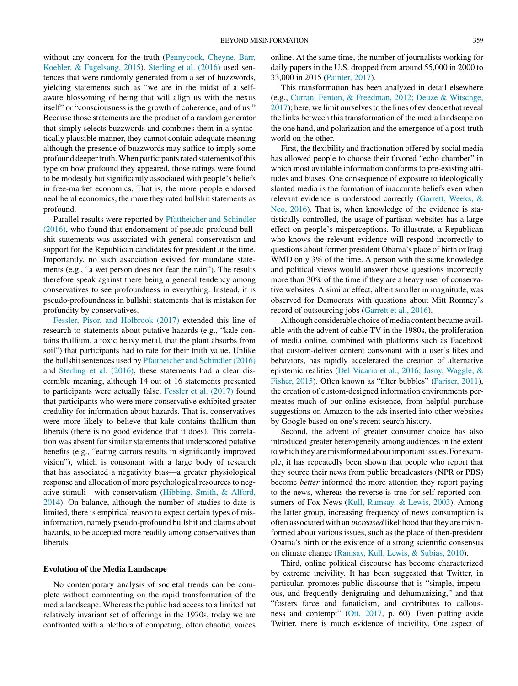without any concern for the truth [\(Pennycook,](#page-15-0) Cheyne, Barr, Koehler, & Fugelsang, 2015). [Sterling](#page-16-0) et al. (2016) used sentences that were randomly generated from a set of buzzwords, yielding statements such as "we are in the midst of a selfaware blossoming of being that will align us with the nexus itself" or "consciousness is the growth of coherence, and of us." Because those statements are the product of a random generator that simply selects buzzwords and combines them in a syntactically plausible manner, they cannot contain adequate meaning although the presence of buzzwords may suffice to imply some profound deeper truth. When participants rated statements of this type on how profound they appeared, those ratings were found to be modestly but significantly associated with people's beliefs in free-market economics. That is, the more people endorsed neoliberal economics, the more they rated bullshit statements as profound.

Parallel results were reported by [Pfattheicher](#page-15-0) and Schindler (2016), who found that endorsement of pseudo-profound bullshit statements was associated with general conservatism and support for the Republican candidates for president at the time. Importantly, no such association existed for mundane statements (e.g., "a wet person does not fear the rain"). The results therefore speak against there being a general tendency among conservatives to see profoundness in everything. Instead, it is pseudo-profoundness in bullshit statements that is mistaken for profundity by conservatives.

Fessler, Pisor, and [Holbrook](#page-13-0) (2017) extended this line of research to statements about putative hazards (e.g., "kale contains thallium, a toxic heavy metal, that the plant absorbs from soil") that participants had to rate for their truth value. Unlike the bullshit sentences used by [Pfattheicher](#page-15-0) and Schindler (2016) and [Sterling](#page-16-0) et al. (2016), these statements had a clear discernible meaning, although 14 out of 16 statements presented to participants were actually false. [Fessler](#page-13-0) et al. (2017) found that participants who were more conservative exhibited greater credulity for information about hazards. That is, conservatives were more likely to believe that kale contains thallium than liberals (there is no good evidence that it does). This correlation was absent for similar statements that underscored putative benefits (e.g., "eating carrots results in significantly improved vision"), which is consonant with a large body of research that has associated a negativity bias—a greater physiological response and allocation of more psychological resources to negative stimuli—with conservatism [\(Hibbing,](#page-14-0) Smith, & Alford, 2014). On balance, although the number of studies to date is limited, there is empirical reason to expect certain types of misinformation, namely pseudo-profound bullshit and claims about hazards, to be accepted more readily among conservatives than liberals.

## **Evolution of the Media Landscape**

No contemporary analysis of societal trends can be complete without commenting on the rapid transformation of the media landscape. Whereas the public had access to a limited but relatively invariant set of offerings in the 1970s, today we are confronted with a plethora of competing, often chaotic, voices online. At the same time, the number of journalists working for daily papers in the U.S. dropped from around 55,000 in 2000 to 33,000 in 2015 ([Painter,](#page-15-0) 2017).

This transformation has been analyzed in detail elsewhere (e.g., Curran, Fenton, & [Freedman,](#page-13-0) 2012; Deuze & Witschge,  $2017$ ; here, we limit ourselves to the lines of evidence that reveal the links between this transformation of the media landscape on the one hand, and polarization and the emergence of a post-truth world on the other.

First, the flexibility and fractionation offered by social media has allowed people to choose their favored "echo chamber" in which most available information conforms to pre-existing attitudes and biases. One consequence of exposure to ideologically slanted media is the formation of inaccurate beliefs even when relevant evidence is understood correctly ([Garrett,](#page-13-0) Weeks, & Neo, 2016). That is, when knowledge of the evidence is statistically controlled, the usage of partisan websites has a large effect on people's misperceptions. To illustrate, a Republican who knows the relevant evidence will respond incorrectly to questions about former president Obama's place of birth or Iraqi WMD only 3% of the time. A person with the same knowledge and political views would answer those questions incorrectly more than 30% of the time if they are a heavy user of conservative websites. A similar effect, albeit smaller in magnitude, was observed for Democrats with questions about Mitt Romney's record of outsourcing jobs [\(Garrett](#page-13-0) et al., 2016).

Although considerable choice of media content became available with the advent of cable TV in the 1980s, the proliferation of media online, combined with platforms such as Facebook that custom-deliver content consonant with a user's likes and behaviors, has rapidly accelerated the creation of alternative epistemic realities (Del Vicario et al., 2016; Jasny, [Waggle,](#page-13-0) & Fisher, 2015). Often known as "filter bubbles" ([Pariser,](#page-15-0) 2011), the creation of custom-designed information environments permeates much of our online existence, from helpful purchase suggestions on Amazon to the ads inserted into other websites by Google based on one's recent search history.

Second, the advent of greater consumer choice has also introduced greater heterogeneity among audiences in the extent to which they are misinformed about important issues. For example, it has repeatedly been shown that people who report that they source their news from public broadcasters (NPR or PBS) become *better* informed the more attention they report paying to the news, whereas the reverse is true for self-reported consumers of Fox News (Kull, [Ramsay,](#page-14-0) & Lewis, 2003). Among the latter group, increasing frequency of news consumption is often associated with an *increased* likelihood that they are misinformed about various issues, such as the place of then-president Obama's birth or the existence of a strong scientific consensus on climate change [\(Ramsay,](#page-15-0) Kull, Lewis, & Subias, 2010).

Third, online political discourse has become characterized by extreme incivility. It has been suggested that Twitter, in particular, promotes public discourse that is "simple, impetuous, and frequently denigrating and dehumanizing," and that "fosters farce and fanaticism, and contributes to callousness and contempt" (Ott, [2017,](#page-15-0) p. 60). Even putting aside Twitter, there is much evidence of incivility. One aspect of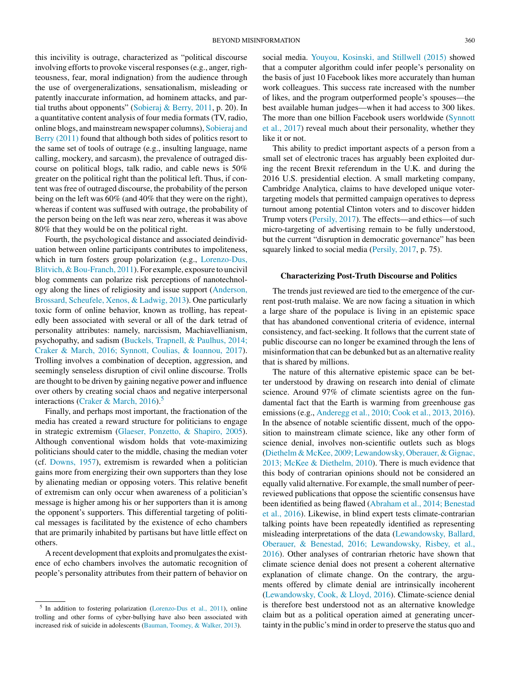this incivility is outrage, characterized as "political discourse involving efforts to provoke visceral responses (e.g., anger, righteousness, fear, moral indignation) from the audience through the use of overgeneralizations, sensationalism, misleading or patently inaccurate information, ad hominem attacks, and partial truths about opponents" [\(Sobieraj](#page-16-0) & Berry, 2011, p. 20). In a quantitative content analysis of four media formats (TV, radio, online blogs, and mainstream newspaper columns), [Sobieraj](#page-16-0) and Berry (2011) found that although both sides of politics resort to the same set of tools of outrage (e.g., insulting language, name calling, mockery, and sarcasm), the prevalence of outraged discourse on political blogs, talk radio, and cable news is 50% greater on the political right than the political left. Thus, if content wasfree of outraged discourse, the probability of the person being on the left was 60% (and 40% that they were on the right), whereas if content was suffused with outrage, the probability of the person being on the left was near zero, whereas it was above 80% that they would be on the political right.

Fourth, the psychological distance and associated deindividuation between online participants contributes to impoliteness, which in turn fosters group polarization (e.g., [Lorenzo-Dus,](#page-15-0) Blitvich, & Bou-Franch, 2011). For example, exposure to uncivil blog comments can polarize risk perceptions of nanotechnology along the lines of religiosity and issue support ([Anderson,](#page-12-0) Brossard, Scheufele, Xenos, & Ladwig, 2013). One particularly toxic form of online behavior, known as trolling, has repeatedly been associated with several or all of the dark tetrad of personality attributes: namely, narcissism, Machiavellianism, psychopathy, and sadism (Buckels, Trapnell, & Paulhus, 2014; Craker & March, 2016; Synnott, Coulias, & Ioannou, 2017). Trolling involves a combination of deception, aggression, and seemingly senseless disruption of civil online discourse. Trolls are thought to be driven by gaining negative power and influence over others by creating social chaos and negative interpersonal interactions (Craker & [March,](#page-13-0) 2016).<sup>5</sup>

Finally, and perhaps most important, the fractionation of the media has created a reward structure for politicians to engage in strategic extremism (Glaeser, [Ponzetto,](#page-13-0) & Shapiro, 2005). Although conventional wisdom holds that vote-maximizing politicians should cater to the middle, chasing the median voter (cf. [Downs,](#page-13-0) 1957), extremism is rewarded when a politician gains more from energizing their own supporters than they lose by alienating median or opposing voters. This relative benefit of extremism can only occur when awareness of a politician's message is higher among his or her supporters than it is among the opponent's supporters. This differential targeting of political messages is facilitated by the existence of echo chambers that are primarily inhabited by partisans but have little effect on others.

A recent development that exploits and promulgates the existence of echo chambers involves the automatic recognition of people's personality attributes from their pattern of behavior on

social media. Youyou, [Kosinski,](#page-16-0) and Stillwell (2015) showed that a computer algorithm could infer people's personality on the basis of just 10 Facebook likes more accurately than human work colleagues. This success rate increased with the number of likes, and the program outperformed people's spouses—the best available human judges—when it had access to 300 likes. The more than one billion Facebook users worldwide ([Synnott](#page-16-0) et al., 2017) reveal much about their personality, whether they like it or not.

This ability to predict important aspects of a person from a small set of electronic traces has arguably been exploited during the recent Brexit referendum in the U.K. and during the 2016 U.S. presidential election. A small marketing company, Cambridge Analytica, claims to have developed unique votertargeting models that permitted campaign operatives to depress turnout among potential Clinton voters and to discover hidden Trump voters ([Persily,](#page-15-0) 2017). The effects—and ethics—of such micro-targeting of advertising remain to be fully understood, but the current "disruption in democratic governance" has been squarely linked to social media ([Persily,](#page-15-0) 2017, p. 75).

## **Characterizing Post-Truth Discourse and Politics**

The trends just reviewed are tied to the emergence of the current post-truth malaise. We are now facing a situation in which a large share of the populace is living in an epistemic space that has abandoned conventional criteria of evidence, internal consistency, and fact-seeking. It follows that the current state of public discourse can no longer be [examined](#page-12-0) through the lens of misinformation that can be debunked but as an alternative reality that is shared by millions.

The nature of this alternative epistemic space can be better understood by drawing on research into denial of climate science. Around 97% of climate scientists agree on the fundamental fact that the Earth is warming from greenhouse gas emissions (e.g., [Anderegg](#page-12-0) et al., 2010; Cook et al., 2013, 2016). In the absence of notable scientific dissent, much of the opposition to mainstream climate science, like any other form of science denial, involves non-scientific outlets such as blogs (Diethelm & McKee, 2009; [Lewandowsky,](#page-13-0) Oberauer, & Gignac, 2013; McKee & Diethelm, 2010). There is much evidence that this body of contrarian opinions should not be considered an equally valid alternative. For example, the small number of peerreviewed publications that oppose the scientific consensus have been identified as being flawed ([Abraham](#page-12-0) et al., 2014; Benestad et al., 2016). Likewise, in blind expert tests climate-contrarian talking points have been repeatedly identified as representing misleading interpretations of the data ([Lewandowsky,](#page-14-0) Ballard, Oberauer, & Benestad, 2016; Lewandowsky, Risbey, et al., 2016). Other analyses of contrarian rhetoric have shown that climate science denial does not present a coherent alternative explanation of climate change. On the contrary, the arguments offered by climate denial are intrinsically incoherent [\(Lewandowsky,](#page-14-0) Cook, & Lloyd, 2016). Climate-science denial is therefore best understood not as an alternative knowledge claim but as a political operation aimed at generating uncertainty in the public's mind in order to preserve the status quo and

<sup>5</sup> In addition to fostering polarization [\(Lorenzo-Dus](#page-15-0) et al., 2011), online trolling and other forms of cyber-bullying have also been associated with increased risk of suicide in adolescents ([Bauman,](#page-12-0) Toomey, & Walker, 2013).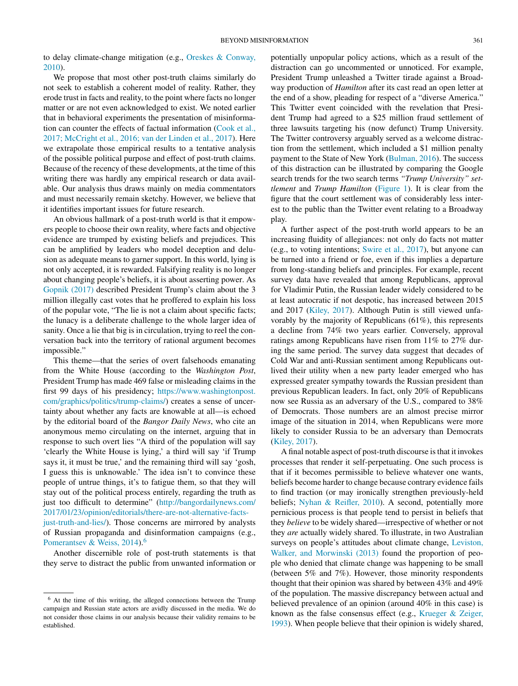to delay climate-change mitigation (e.g., Oreskes & [Conway,](#page-15-0) 2010).

We propose that most other post-truth claims similarly do not seek to establish a coherent model of reality. Rather, they erode trust in facts and reality, to the point where facts no longer matter or are not even acknowledged to exist. We noted earlier that in behavioral experiments the presentation of misinformation can counter the effects of factual information (Cook et al., 2017; McCright et al., 2016; van der Linden et al., 2017). Here we extrapolate those empirical results to a tentative analysis of the possible political purpose and effect of post-truth claims. Because of the recency of these developments, at the time of this writing there was hardly any empirical research or data available. Our analysis thus draws mainly on media commentators and must necessarily remain sketchy. However, we believe that it identifies important issues for future research.

An obvious hallmark of a post-truth world is that it empowers people to choose their own reality, where facts and objective evidence are trumped by existing beliefs and prejudices. This can be amplified by leaders who model deception and delusion as adequate means to garner support. In this world, lying is not only accepted, it is rewarded. Falsifying reality is no longer about changing people's beliefs, it is about asserting power. As [Gopnik](#page-13-0) (2017) described President Trump's claim about the 3 million illegally cast votes that he proffered to explain his loss of the popular vote, "The lie is not a claim about specific facts; the lunacy is a deliberate challenge to the whole larger idea of sanity. Once a lie that big is in circulation, trying to reel the conversation back into the territory of rational argument becomes impossible."

This theme—that the series of overt falsehoods emanating from the White House (according to the *Washington Post*, President Trump has made 469 false or misleading claims in the first 99 days of his presidency; [https://www.washingtonpost.](https://www.washingtonpost.com/graphics/politics/trump-claims/) [com/graphics/politics/trump-claims/](https://www.washingtonpost.com/graphics/politics/trump-claims/)) creates a sense of uncertainty about whether any facts are knowable at all—is echoed by the editorial board of the *Bangor Daily News*, who cite an anonymous memo circulating on the internet, arguing that in response to such overt lies "A third of the population will say 'clearly the White House is lying,' a third will say 'if Trump says it, it must be true,' and the remaining third will say 'gosh, I guess this is unknowable.' The idea isn't to convince these people of untrue things, it's to fatigue them, so that they will stay out of the political process entirely, regarding the truth as just too difficult to determine" ([http://bangordailynews.com/](http://bangordailynews.com/2017/01/23/opinion/editorials/there-are-not-alternative-facts-just-truth-and-lies/) [2017/01/23/opinion/editorials/there-are-not-alternative-facts](http://bangordailynews.com/2017/01/23/opinion/editorials/there-are-not-alternative-facts-just-truth-and-lies/)[just-truth-and-lies/\)](http://bangordailynews.com/2017/01/23/opinion/editorials/there-are-not-alternative-facts-just-truth-and-lies/). Those concerns are mirrored by analysts

of Russian propaganda and disinformation campaigns (e.g., [Pomerantsev](#page-15-0) & Weiss, 2014).<sup>6</sup>

Another discernible role of post-truth statements is that they serve to distract the public from unwanted information or

potentially unpopular policy actions, which as a result of the distraction can go uncommented or unnoticed. For example, President Trump unleashed a Twitter tirade against a Broadway production of *Hamilton* after its cast read an open letter at the end of a show, pleading for respect of a "diverse America." This Twitter event coincided with the revelation that President Trump had agreed to a \$25 million fraud settlement of three lawsuits [targeting](#page-12-0) his (now defunct) Trump University. The Twitter controversy arguably served as a welcome distraction from the settlement, which included a \$1 million penalty payment to the State of New York ([Bulman,](#page-12-0) 2016). The success of this distraction can be illustrated by comparing the Google search trends for the two search terms *"Trump University" settlement* and *Trump Hamilton* [\(Figure](#page-9-0) 1). It is clear from the figure that the court settlement was of considerably less interest to the public than the Twitter event relating to a Broadway play.

A further aspect of the post-truth world appears to be an increasing fluidity of allegiances: not only do facts not matter (e.g., to voting intentions; [Swire](#page-16-0) et al., 2017), but anyone can be turned into a friend or foe, even if this implies a departure from long-standing beliefs and principles. For example, recent survey data have revealed that among Republicans, approval for Vladimir Putin, the Russian leader widely considered to be at least autocratic if not despotic, has increased between 2015 and 2017 ([Kiley,](#page-14-0) 2017). Although Putin is still viewed unfavorably by the majority of Republicans (61%), this represents a decline from 74% two years earlier. Conversely, approval ratings among Republicans have risen from 11% to 27% during the same period. The survey data suggest that decades of Cold War and anti-Russian sentiment among Republicans outlived their utility when a new party leader emerged who has expressed greater sympathy towards the Russian president than previous Republican leaders. In fact, only 20% of Republicans now see Russia as an adversary of the U.S., compared to 38% of Democrats. Those numbers are an almost precise mirror image of the situation in 2014, when Republicans were more likely to consider Russia to be an adversary than Democrats (Kiley, [2017\).](#page-14-0)

A final notable aspect of post-truth discourse isthat it invokes processes that render it self-perpetuating. One such process is that if it becomes permissible to believe whatever one wants, beliefs become harder to change because contrary evidence fails to find traction (or may ironically strengthen previously-held beliefs; Nyhan & [Reifler,](#page-15-0) 2010). A second, potentially more pernicious process is that people tend to persist in beliefs that they *believe* to be widely shared—irrespective of whether or not they *are* actually widely shared. To illustrate, in two Australian surveys on people's attitudes about climate change, [Leviston,](#page-14-0) Walker, and Morwinski (2013) found the proportion of people who denied that climate change was happening to be small (between 5% and 7%). However, those minority respondents thought that their opinion was shared by between 43% and 49% of the population. The massive discrepancy between actual and believed prevalence of an opinion (around 40% in this case) is known as the false consensus effect (e.g., [Krueger](#page-14-0) & Zeiger, 1993). When people believe that their opinion is widely shared,

<sup>6</sup> At the time of this writing, the alleged connections between the Trump campaign and Russian state actors are avidly discussed in the media. We do not consider those claims in our analysis because their validity remains to be established.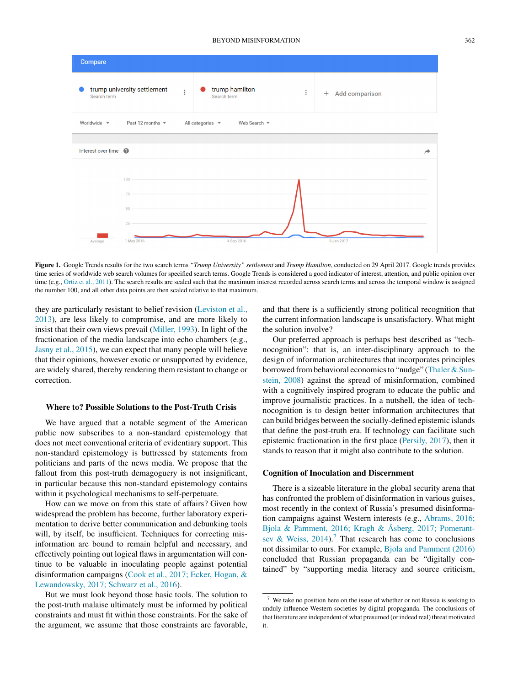<span id="page-9-0"></span>

**Figure 1.** Google Trends results for the two search terms *"Trump University" settlement* and *Trump Hamilton*, conducted on 29 April 2017. Google trends provides time series of worldwide web search volumes for specified search terms. Google Trends is considered a good indicator of interest, attention, and public opinion over time (e.g., Ortiz et al., [2011\).](#page-15-0) The search results are scaled such that the maximum interest recorded across search terms and across the temporal window is assigned the number 100, and all other data points are then scaled relative to that maximum.

they are particularly resistant to belief revision ([Leviston](#page-14-0) et al., 2013), are less likely to compromise, and are more likely to insist that their own views prevail [\(Miller,](#page-15-0) 1993). In light of the fractionation of the media landscape into echo chambers (e.g., Jasny et al., [2015\),](#page-14-0) we can expect that many people will believe that their opinions, however exotic or unsupported by evidence, are widely shared, thereby rendering them resistant to change or correction.

# **Where to? Possible Solutions to the Post-Truth Crisis**

We have argued that a notable segment of the American public now subscribes to a non-standard epistemology that does not meet conventional criteria of evidentiary support. This non-standard epistemology is buttressed by statements from politicians and parts of the news media. We propose that the fallout from this post-truth demagoguery is not insignificant, in particular because this non-standard epistemology contains within it psychological mechanisms to self-perpetuate.

How can we move on from this state of affairs? Given how widespread the problem has become, further laboratory experimentation to derive better communication and debunking tools will, by itself, be insufficient. Techniques for correcting misinformation are bound to remain helpful and necessary, and effectively pointing out logical flaws in argumentation will continue to be valuable in inoculating people against potential disinformation campaigns (Cook et al., 2017; Ecker, [Hogan,](#page-12-0) & Lewandowsky, 2017; Schwarz et al., 2016).

But we must look beyond those basic tools. The solution to the post-truth malaise ultimately must be informed by political constraints and must fit within those constraints. For the sake of the argument, we assume that those constraints are favorable, and that there is a sufficiently strong political recognition that the current information landscape is unsatisfactory. What might the solution involve?

Our preferred approach is perhaps best described as "technocognition": that is, an inter-disciplinary approach to the design of information architectures that incorporates principles borrowed from behavioral economics to "nudge" [\(Thaler](#page-16-0) & Sunstein, 2008) against the spread of misinformation, combined with a cognitively inspired program to educate the public and improve journalistic practices. In a nutshell, the idea of technocognition is to design better information architectures that can build bridges between the socially-defined epistemic islands that define the post-truth era. If technology can facilitate such epistemic fractionation in the first place ([Persily,](#page-15-0) 2017), then it stands to reason that it might also contribute to the solution.

## **Cognition of Inoculation and Discernment**

There is a sizeable literature in the global security arena that has confronted the problem of disinformation in various guises, most recently in the context of Russia's presumed disinformation campaigns against Western interests (e.g., [Abrams,](#page-12-0) 2016; Bjola & Pamment, 2016; Kragh & Åsberg, 2017; Pomerantsev & Weiss,  $2014$ .<sup>7</sup> That research has come to conclusions not dissimilar to ours. For example, Bjola and [Pamment](#page-12-0) (2016) concluded that Russian propaganda can be "digitally contained" by "supporting media literacy and source criticism,

<sup>7</sup> We take no position here on the issue of whether or not Russia is seeking to unduly influence Western societies by digital propaganda. The conclusions of that literature are independent of what presumed (or indeed real) threat motivated it.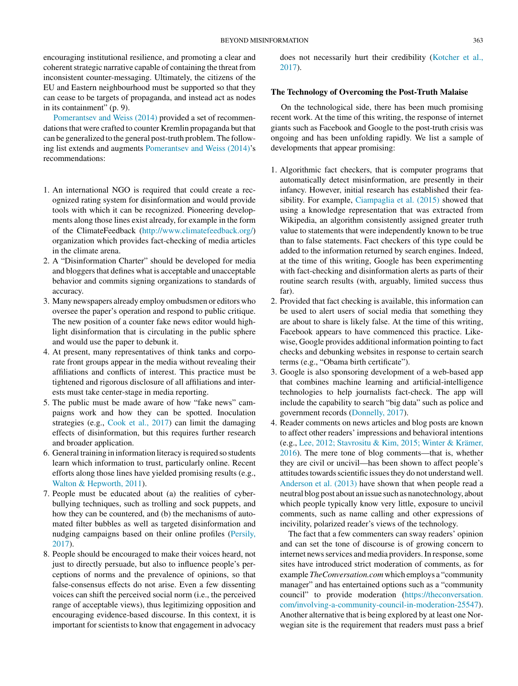encouraging institutional resilience, and promoting a clear and coherent strategic narrative capable of containing the threat from inconsistent counter-messaging. Ultimately, the citizens of the EU and Eastern neighbourhood must be supported so that they can cease to be targets of propaganda, and instead act as nodes in its containment" (p. 9).

[Pomerantsev](#page-15-0) and Weiss (2014) provided a set of recommendations that were crafted to counter Kremlin propaganda but that can be generalized to the general post-truth problem.The following list extends and augments [Pomerantsev](#page-15-0) and Weiss (2014)'s recommendations:

- 1. An international NGO is required that could create a recognized rating system for disinformation and would provide tools with which it can be recognized. Pioneering developments along those lines exist already, for example in the form of the ClimateFeedback (<http://www.climatefeedback.org/>) organization which provides fact-checking of media articles in the climate arena.
- 2. A "Disinformation Charter" should be developed for media and bloggers that defines what is acceptable and unacceptable behavior and commits signing organizations to standards of accuracy.
- 3. Many newspapers already employ ombudsmen or editors who oversee the paper's operation and respond to public critique. The new position of a counter fake news editor would highlight disinformation that is circulating in the public sphere and would use the paper to debunk it.
- 4. At present, many representatives of think tanks and corporate front groups appear in the media without revealing their affiliations and conflicts of interest. This practice must be tightened and rigorous disclosure of all affiliations and interests must take center-stage in media reporting.
- 5. The public must be made aware of how "fake news" campaigns work and how they can be spotted. Inoculation strategies (e.g., [Cook](#page-12-0) et al., 2017) can limit the damaging effects of disinformation, but this requires further research and broader application.
- 6. General training in information literacy isrequired so students learn which information to trust, particularly online. Recent efforts along those lines have yielded promising results (e.g., Walton & [Hepworth,](#page-16-0) 2011).
- 7. People must be educated about (a) the realities of cyberbullying techniques, such as trolling and sock puppets, and how they can be countered, and (b) the mechanisms of automated filter bubbles as well as targeted disinformation and nudging campaigns based on their online profiles [\(Persily,](#page-15-0) 2017).
- 8. People should be encouraged to make their voices heard, not just to directly persuade, but also to influence people's perceptions of norms and the prevalence of opinions, so that false-consensus effects do not arise. Even a few dissenting voices can shift the perceived social norm (i.e., the perceived range of acceptable views), thus legitimizing opposition and encouraging evidence-based discourse. In this context, it is important for scientists to know that engagement in advocacy

does not necessarily hurt their credibility ([Kotcher](#page-14-0) et al., 2017).

# **The Technology of Overcoming the Post-Truth Malaise**

On the technological side, there has been much promising recent work. At the time of this writing, the response of internet giants such as Facebook and Google to the post-truth crisis was ongoing and has been unfolding rapidly. We list a sample of developments that appear promising:

- 1. Algorithmic fact checkers, that is computer programs that automatically detect misinformation, are presently in their infancy. However, initial research has established their feasibility. For example, [Ciampaglia](#page-12-0) et al. (2015) showed that using a knowledge representation that was extracted from Wikipedia, an algorithm consistently assigned greater truth value to statements that were independently known to be true than to false statements. Fact checkers of this type could be added to the information returned by search engines. Indeed, at the time of this writing, Google has been experimenting with fact-checking and disinformation alerts as parts of their routine search results (with, arguably, limited success thus far).
- 2. Provided that fact checking is available, this information can be used to alert users of social media that something they are about to share is likely false. At the time of this writing, Facebook appears to have commenced this practice. Likewise, Google provides additional information pointing to fact checks and debunking websites in response to certain search terms (e.g., "Obama birth certificate").
- 3. Google is also sponsoring development of a web-based app that combines machine learning and artificial-intelligence technologies to help journalists fact-check. The app will include the capability to search "big data" such as police and government records [\(Donnelly,](#page-13-0) 2017).
- 4. Reader comments on news articles and blog posts are known to affect other readers' impressions and behavioral intentions (e.g., Lee, 2012; [Stavrositu](#page-14-0) & Kim, 2015; Winter & Krämer, 2016). The mere tone of blog comments—that is, whether they are civil or uncivil—has been shown to affect people's attitudes towards scientific issues they do not understand well. [Anderson](#page-12-0) et al. (2013) have shown that when people read a neutral blog post about an issue such as nanotechnology, about which people typically know very little, exposure to uncivil comments, such as name calling and other expressions of incivility, polarized reader's views of the technology.

The fact that a few commenters can sway readers' opinion and can set the tone of discourse is of growing concern to internet news services and media providers. In response, some sites have introduced strict moderation of comments, as for example *TheConversation.com* which employs a "community manager" and has entertained options such as a "community council" to provide moderation [\(https://theconversation.](https://www.theconversation.com/involving-a-community-council-in-moderation-25547) [com/involving-a-community-council-in-moderation-25547](https://www.theconversation.com/involving-a-community-council-in-moderation-25547)). Another alternative that is being explored by at least one Norwegian site is the requirement that readers must pass a brief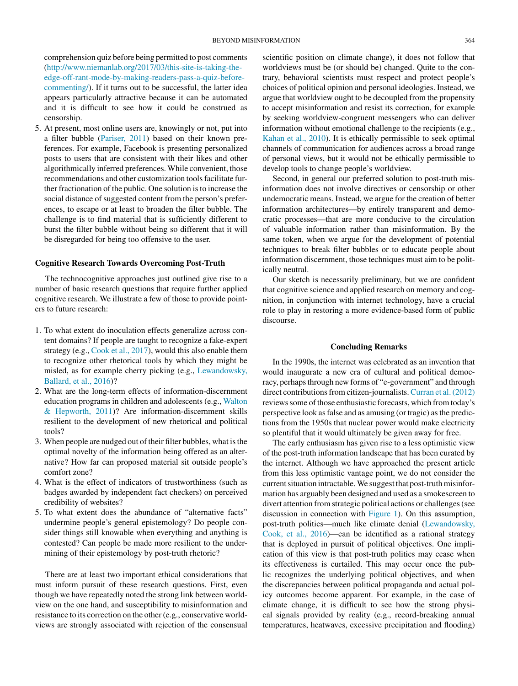comprehension quiz before being permitted to post comments ([http://www.niemanlab.org/2017/03/this-site-is-taking-the](http://www.niemanlab.org/2017/03/this-site-is-taking-the-edge-off-rant-mode-by-making-readers-pass-a-quiz-before-commenting/)[edge-off-rant-mode-by-making-readers-pass-a-quiz-before](http://www.niemanlab.org/2017/03/this-site-is-taking-the-edge-off-rant-mode-by-making-readers-pass-a-quiz-before-commenting/)[commenting/](http://www.niemanlab.org/2017/03/this-site-is-taking-the-edge-off-rant-mode-by-making-readers-pass-a-quiz-before-commenting/)). If it turns out to be successful, the latter idea appears particularly attractive because it can be automated and it is difficult to see how it could be construed as censorship.

5. At present, most online users are, knowingly or not, put into a filter bubble ([Pariser,](#page-15-0) 2011) based on their known preferences. For example, Facebook is presenting personalized posts to users that are consistent with their likes and other algorithmically inferred preferences. While convenient, those recommendations and other customization toolsfacilitate further fractionation of the public. One solution isto increase the social distance of suggested content from the person's preferences, to escape or at least to broaden the filter bubble. The challenge is to find material that is sufficiently different to burst the filter bubble without being so different that it will be disregarded for being too offensive to the user.

## **Cognitive Research Towards Overcoming Post-Truth**

The technocognitive approaches just outlined give rise to a number of basic research questions that require further applied cognitive research. We illustrate a few of those to provide pointers to future research:

- 1. To what extent do inoculation effects generalize across content domains? If people are taught to recognize a fake-expert strategy (e.g., Cook et al., [2017\),](#page-12-0) would this also enable them to recognize other rhetorical tools by which they might be misled, as for example cherry picking (e.g., [Lewandowsky,](#page-14-0) Ballard, et al., 2016)?
- 2. What are the long-term effects of information-discernment education programs in children and adolescents (e.g., Walton & Hepworth, 2011)? Are information-discernment skills resilient to the development of new rhetorical and political tools?
- 3. When people are nudged out of their filter bubbles, what isthe optimal novelty of the information being offered as an alternative? How far can proposed material sit outside people's comfort zone?
- 4. What is the effect of indicators of trustworthiness (such as badges awarded by independent fact checkers) on perceived credibility of websites?
- 5. To what extent does the abundance of "alternative facts" undermine people's general epistemology? Do people consider things still knowable when everything and anything is contested? Can people be made more resilient to the undermining of their epistemology by post-truth rhetoric?

There are at least two important ethical considerations that must inform pursuit of these research questions. First, even though we have repeatedly noted the strong link between worldview on the one hand, and susceptibility to misinformation and resistance to its correction on the other (e.g., conservative worldviews are strongly associated with rejection of the consensual scientific position on climate change), it does not follow that worldviews must be (or should be) changed. Quite to the contrary, behavioral scientists must respect and protect people's choices of political opinion and personal ideologies. Instead, we argue that worldview ought to be decoupled from the propensity to accept misinformation and resist its correction, for example by seeking worldview-congruent messengers who can deliver information without emotional challenge to the recipients (e.g., [Kahan](#page-14-0) et al., 2010). It is ethically permissible to seek optimal channels of communication for audiences across a broad range of personal views, but it would not be ethically permissible to develop tools to change people's worldview.

Second, in general our preferred solution to post-truth misinformation does not involve directives or censorship or other undemocratic means. Instead, we argue for the creation of better information architectures—by entirely transparent and democratic processes—that are more conducive to the circulation of valuable information rather than misinformation. By the same token, when we argue for the development of potential techniques to break filter bubbles or to educate people about information discernment, those techniques must aim to be politically neutral.

Our sketch is necessarily preliminary, but we are confident that cognitive science and applied research on memory and cognition, in conjunction with internet technology, have a crucial role to play in restoring a more evidence-based form of public discourse.

## **Concluding Remarks**

In the 1990s, the internet was celebrated as an invention that would inaugurate a new era of cultural and political democracy, perhaps through new forms of "e-government" and through direct contributions from citizen-journalists. [Curran](#page-13-0) et al. (2012) reviews some of those enthusiastic forecasts, which from today's perspective look asfalse and as amusing (or tragic) asthe predictions from the 1950s that nuclear power would make electricity so plentiful that it would ultimately be given away for free.

The early enthusiasm has given rise to a less optimistic view of the post-truth information landscape that has been curated by the internet. Although we have approached the present article from this less optimistic vantage point, we do not consider the current situation intractable. We suggest that post-truth misinformation has arguably been designed and used as a smokescreen to divert attention from strategic political actions or challenges(see discussion in connection with [Figure](#page-9-0) 1). On this assumption, post-truth politics—much like climate denial ([Lewandowsky,](#page-14-0) Cook, et al., 2016)—can be identified as a rational strategy that is deployed in pursuit of political objectives. One implication of this view is that post-truth politics may cease when its effectiveness is curtailed. This may occur once the public recognizes the underlying political objectives, and when the discrepancies between political propaganda and actual policy outcomes become apparent. For example, in the case of climate change, it is difficult to see how the strong physical signals provided by reality (e.g., record-breaking annual temperatures, heatwaves, excessive precipitation and flooding)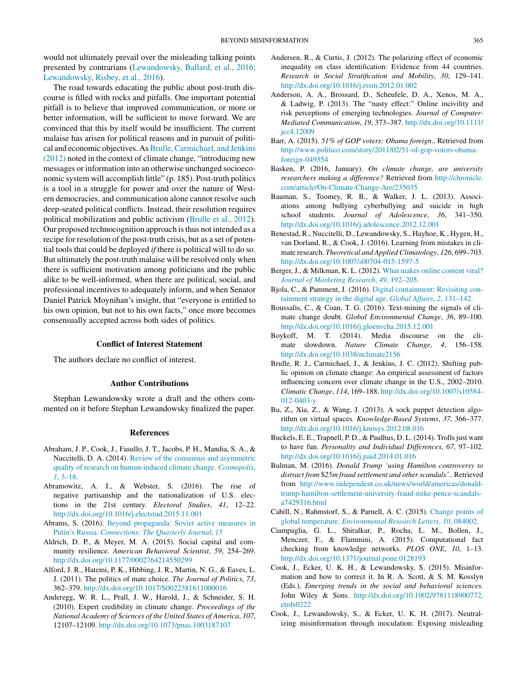<span id="page-12-0"></span>would not ultimately prevail over the misleading talking points presented by contrarians ([Lewandowsky,](#page-14-0) Ballard, et al., 2016; Lewandowsky, Risbey, et al., 2016).

The road towards educating the public about post-truth discourse is filled with rocks and pitfalls. One important potential pitfall is to believe that improved communication, or more or better information, will be sufficient to move forward. We are convinced that this by itself would be insufficient. The current malaise has arisen for political reasons and in pursuit of political and economic objectives. As Brulle, Carmichael, and Jenkins (2012) noted in the context of climate change, "introducing new messages or information into an otherwise unchanged socioeconomic system will accomplish little" (p. 185). Post-truth politics is a tool in a struggle for power and over the nature of Western democracies, and communication alone cannot resolve such deep-seated political conflicts. Instead, their resolution requires political mobilization and public activism (Brulle et al., 2012). Our proposed technocognition approach isthus not intended as a recipe for resolution of the post-truth crisis, but as a set of potential tools that could be deployed *if* there is political will to do so. But ultimately the post-truth malaise will be resolved only when there is sufficient motivation among politicians and the public alike to be well-informed, when there are political, social, and professional incentives to adequately inform, and when Senator Daniel Patrick Moynihan's insight, that "everyone is entitled to his own opinion, but not to his own facts," once more becomes consensually accepted across both sides of politics.

# **Conflict of Interest Statement**

The authors declare no conflict of interest.

## **Author Contributions**

Stephan Lewandowsky wrote a draft and the others commented on it before Stephan Lewandowsky finalized the paper.

#### **References**

- Abraham, J. P., Cook, J., Fasullo, J. T., Jacobs, P. H., Mandia, S. A., & Nuccitelli, D. A. (2014). [Review](http://refhub.elsevier.com/S2211-3681(17)30070-0/sbref0005) [of](http://refhub.elsevier.com/S2211-3681(17)30070-0/sbref0005) [the](http://refhub.elsevier.com/S2211-3681(17)30070-0/sbref0005) [consensus](http://refhub.elsevier.com/S2211-3681(17)30070-0/sbref0005) [and](http://refhub.elsevier.com/S2211-3681(17)30070-0/sbref0005) [asymmetric](http://refhub.elsevier.com/S2211-3681(17)30070-0/sbref0005) [quality](http://refhub.elsevier.com/S2211-3681(17)30070-0/sbref0005) [of](http://refhub.elsevier.com/S2211-3681(17)30070-0/sbref0005) [research](http://refhub.elsevier.com/S2211-3681(17)30070-0/sbref0005) [on](http://refhub.elsevier.com/S2211-3681(17)30070-0/sbref0005) [human-induced](http://refhub.elsevier.com/S2211-3681(17)30070-0/sbref0005) [climate](http://refhub.elsevier.com/S2211-3681(17)30070-0/sbref0005) [change.](http://refhub.elsevier.com/S2211-3681(17)30070-0/sbref0005) *[Cosmopolis](http://refhub.elsevier.com/S2211-3681(17)30070-0/sbref0005)*[,](http://refhub.elsevier.com/S2211-3681(17)30070-0/sbref0005) *[1](http://refhub.elsevier.com/S2211-3681(17)30070-0/sbref0005)*[,](http://refhub.elsevier.com/S2211-3681(17)30070-0/sbref0005) [3–18.](http://refhub.elsevier.com/S2211-3681(17)30070-0/sbref0005)
- Abramowitz, A. I., & Webster, S. (2016). The rise of negative partisanship and the nationalization of U.S. elections in the 21st century. *Electoral Studies*, *41*, 12–22. [http://dx.doi.org/10.1016/j.electstud.2015.11.001](dx.doi.org/10.1016/j.electstud.2015.11.001)
- Abrams, S. (2016). [Beyond](http://refhub.elsevier.com/S2211-3681(17)30070-0/sbref0015) [propaganda:](http://refhub.elsevier.com/S2211-3681(17)30070-0/sbref0015) [Soviet](http://refhub.elsevier.com/S2211-3681(17)30070-0/sbref0015) [active](http://refhub.elsevier.com/S2211-3681(17)30070-0/sbref0015) [measures](http://refhub.elsevier.com/S2211-3681(17)30070-0/sbref0015) [in](http://refhub.elsevier.com/S2211-3681(17)30070-0/sbref0015) [Putin's](http://refhub.elsevier.com/S2211-3681(17)30070-0/sbref0015) [Russia.](http://refhub.elsevier.com/S2211-3681(17)30070-0/sbref0015) *[Connections:](http://refhub.elsevier.com/S2211-3681(17)30070-0/sbref0015) [The](http://refhub.elsevier.com/S2211-3681(17)30070-0/sbref0015) [Quarterly](http://refhub.elsevier.com/S2211-3681(17)30070-0/sbref0015) [Journal](http://refhub.elsevier.com/S2211-3681(17)30070-0/sbref0015)*[,](http://refhub.elsevier.com/S2211-3681(17)30070-0/sbref0015) *[15](http://refhub.elsevier.com/S2211-3681(17)30070-0/sbref0015)*
- Aldrich, D. P., & Meyer, M. A. (2015). Social capital and community resilience. *American Behavioral Scientist*, *59*, 254–269. [http://dx.doi.org/10.1177/0002764214550299](dx.doi.org/10.1177/0002764214550299)
- Alford, J. R., Hatemi, P. K., Hibbing, J. R., Martin, N. G., & Eaves, L. J. (2011). The politics of mate choice. *The Journal of Politics*, *73*, 362–379. [http://dx.doi.org/10.1017/S0022381611000016](dx.doi.org/10.1017/S0022381611000016)
- Anderegg, W. R. L., Prall, J. W., Harold, J., & Schneider, S. H. (2010). Expert credibility in climate change. *Proceedings of the National Academy of Sciences of the United States of America*, *107*, 12107–12109. [http://dx.doi.org/10.1073/pnas.1003187107](dx.doi.org/10.1073/pnas.1003187107)
- Andersen, R., & Curtis, J. (2012). The polarizing effect of economic inequality on class identification: Evidence from 44 countries. *Research in Social Stratification and Mobility*, *30*, 129–141. [http://dx.doi.org/10.1016/j.rssm.2012.01.002](dx.doi.org/10.1016/j.rssm.2012.01.002)
- Anderson, A. A., Brossard, D., Scheufele, D. A., Xenos, M. A., & Ladwig, P. (2013). The "nasty effect:" Online incivility and risk perceptions of emerging technologies. *Journal of Computer-Mediated Communication*, *19*, 373–387. [http://dx.doi.org/10.1111/](dx.doi.org/10.1111/jcc4.12009) [jcc4.12009](dx.doi.org/10.1111/jcc4.12009)
- Barr, A. (2015). *51% of GOP voters: Obama foreign*.. Retrieved from [http://www.politico.com/story/2011/02/51-of-gop-voters-obama](http://www.politico.com/story/2011/02/51-of-gop-voters-obama-foreign-049554)[foreign-049554](http://www.politico.com/story/2011/02/51-of-gop-voters-obama-foreign-049554)
- Basken, P. (2016, January). *On climate change, are university researchers making a difference?* Retrieved from [http://chronicle.](http://www.chronicle.com/article/On-Climate-Change-Are/235035) [com/article/On-Climate-Change-Are/235035](http://www.chronicle.com/article/On-Climate-Change-Are/235035)
- Bauman, S., Toomey, R. B., & Walker, J. L. (2013). Associations among bullying cyberbullying and suicide in high school students. *Journal of Adolescence*, *36*, 341–350. [http://dx.doi.org/10.1016/j.adolescence.2012.12.001](dx.doi.org/10.1016/j.adolescence.2012.12.001)
- Benestad, R., Nuccitelli, D., Lewandowsky, S., Hayhoe, K., Hygen, H., van Dorland, R., & Cook, J. (2016). Learning from mistakes in climate research. *Theoretical and Applied Climatology*, *126*, 699–703. [http://dx.doi.org/10.1007/s00704-015-1597-5](dx.doi.org/10.1007/s00704-015-1597-5)
- Berger, J., & Milkman, K. L. (2012). [What](http://refhub.elsevier.com/S2211-3681(17)30070-0/sbref0065) [makes](http://refhub.elsevier.com/S2211-3681(17)30070-0/sbref0065) [online](http://refhub.elsevier.com/S2211-3681(17)30070-0/sbref0065) [content](http://refhub.elsevier.com/S2211-3681(17)30070-0/sbref0065) [viral?](http://refhub.elsevier.com/S2211-3681(17)30070-0/sbref0065) *[Journal](http://refhub.elsevier.com/S2211-3681(17)30070-0/sbref0065) [of](http://refhub.elsevier.com/S2211-3681(17)30070-0/sbref0065) [Marketing](http://refhub.elsevier.com/S2211-3681(17)30070-0/sbref0065) [Research](http://refhub.elsevier.com/S2211-3681(17)30070-0/sbref0065)*[,](http://refhub.elsevier.com/S2211-3681(17)30070-0/sbref0065) *[49](http://refhub.elsevier.com/S2211-3681(17)30070-0/sbref0065)*[,](http://refhub.elsevier.com/S2211-3681(17)30070-0/sbref0065) [192–205.](http://refhub.elsevier.com/S2211-3681(17)30070-0/sbref0065)
- Bjola, C., & Pamment, J. (2016). [Digital](http://refhub.elsevier.com/S2211-3681(17)30070-0/sbref0070) [containment:](http://refhub.elsevier.com/S2211-3681(17)30070-0/sbref0070) [Revisiting](http://refhub.elsevier.com/S2211-3681(17)30070-0/sbref0070) [con](http://refhub.elsevier.com/S2211-3681(17)30070-0/sbref0070)[tainment](http://refhub.elsevier.com/S2211-3681(17)30070-0/sbref0070) [strategy](http://refhub.elsevier.com/S2211-3681(17)30070-0/sbref0070) [in](http://refhub.elsevier.com/S2211-3681(17)30070-0/sbref0070) [the](http://refhub.elsevier.com/S2211-3681(17)30070-0/sbref0070) [digital](http://refhub.elsevier.com/S2211-3681(17)30070-0/sbref0070) [age.](http://refhub.elsevier.com/S2211-3681(17)30070-0/sbref0070) *[Global](http://refhub.elsevier.com/S2211-3681(17)30070-0/sbref0070) [Affairs](http://refhub.elsevier.com/S2211-3681(17)30070-0/sbref0070)*[,](http://refhub.elsevier.com/S2211-3681(17)30070-0/sbref0070) *[2](http://refhub.elsevier.com/S2211-3681(17)30070-0/sbref0070)*[,](http://refhub.elsevier.com/S2211-3681(17)30070-0/sbref0070) [131–142.](http://refhub.elsevier.com/S2211-3681(17)30070-0/sbref0070)
- Boussalis, C., & Coan, T. G. (2016). Text-mining the signals of climate change doubt. *Global Environmental Change*, *36*, 89–100. [http://dx.doi.org/10.1016/j.gloenvcha.2015.12.001](dx.doi.org/10.1016/j.gloenvcha.2015.12.001)
- Boykoff, M. T. (2014). Media discourse on the climate slowdown. *Nature Climate Change*, *4*, 156–158. [http://dx.doi.org/10.1038/nclimate2156](dx.doi.org/10.1038/nclimate2156)
- Brulle, R. J., Carmichael, J., & Jenkins, J. C. (2012). Shifting public opinion on climate change: An empirical assessment of factors influencing concern over climate change in the U.S., 2002–2010. *Climatic Change*, *114*, 169–188. [http://dx.doi.org/10.1007/s10584-](dx.doi.org/10.1007/s10584-012-0403-y) [012-0403-y](dx.doi.org/10.1007/s10584-012-0403-y)
- Bu, Z., Xia, Z., & Wang, J. (2013). A sock puppet detection algorithm on virtual spaces. *Knowledge-Based Systems*, *37*, 366–377. [http://dx.doi.org/10.1016/j.knosys.2012.08.016](dx.doi.org/10.1016/j.knosys.2012.08.016)
- Buckels, E. E., Trapnell, P. D., & Paulhus, D. L. (2014). Trollsjust want to have fun. *Personality and Individual Differences*, *67*, 97–102. [http://dx.doi.org/10.1016/j.paid.2014.01.016](dx.doi.org/10.1016/j.paid.2014.01.016)
- Bulman, M. (2016). *Donald Trump 'using Hamilton controversy to distract from* \$*25m fraud settlement and other scandals'*.. Retrieved from [http://www.independent.co.uk/news/world/americas/donald](http://www.independent.co.uk/news/world/americas/donald-trump-hamilton-settlement-university-fraud-mike-pence-scandals-a7429316.html)[trump-hamilton-settlement-university-fraud-mike-pence-scandals](http://www.independent.co.uk/news/world/americas/donald-trump-hamilton-settlement-university-fraud-mike-pence-scandals-a7429316.html)[a7429316.html](http://www.independent.co.uk/news/world/americas/donald-trump-hamilton-settlement-university-fraud-mike-pence-scandals-a7429316.html)
- Cahill, N., Rahmstorf, S., & Parnell, A. C. (2015). [Change](http://refhub.elsevier.com/S2211-3681(17)30070-0/sbref0105) [points](http://refhub.elsevier.com/S2211-3681(17)30070-0/sbref0105) [of](http://refhub.elsevier.com/S2211-3681(17)30070-0/sbref0105) [global](http://refhub.elsevier.com/S2211-3681(17)30070-0/sbref0105) [temperature.](http://refhub.elsevier.com/S2211-3681(17)30070-0/sbref0105) *[Environmental](http://refhub.elsevier.com/S2211-3681(17)30070-0/sbref0105) [Research](http://refhub.elsevier.com/S2211-3681(17)30070-0/sbref0105) [Letters](http://refhub.elsevier.com/S2211-3681(17)30070-0/sbref0105)*[,](http://refhub.elsevier.com/S2211-3681(17)30070-0/sbref0105) *[10](http://refhub.elsevier.com/S2211-3681(17)30070-0/sbref0105)*[,](http://refhub.elsevier.com/S2211-3681(17)30070-0/sbref0105) [084002.](http://refhub.elsevier.com/S2211-3681(17)30070-0/sbref0105)
- Ciampaglia, G. L., Shiralkar, P., Rocha, L. M., Bollen, J., Menczer, F., & Flammini, A. (2015). Computational fact checking from knowledge networks. *PLOS ONE*, *10*, 1–13. [http://dx.doi.org/10.1371/journal.pone.0128193](dx.doi.org/10.1371/journal.pone.0128193)
- Cook, J., Ecker, U. K. H., & Lewandowsky, S. (2015). Misinformation and how to correct it. In R. A. Scott, & S. M. Kosslyn (Eds.), *Emerging trends in the social and behavioral sciences*. John Wiley & Sons. [http://dx.doi.org/10.1002/9781118900772.](dx.doi.org/10.1002/9781118900772.etrds0222) [etrds0222](dx.doi.org/10.1002/9781118900772.etrds0222)
- Cook, J., Lewandowsky, S., & Ecker, U. K. H. (2017). Neutralizing misinformation through inoculation: Exposing misleading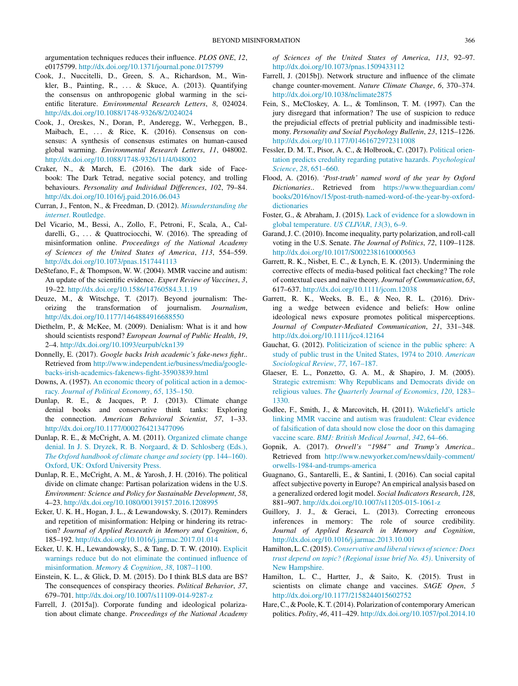<span id="page-13-0"></span>argumentation techniques reduces their influence. *PLOS ONE*, *12*, e0175799. [http://dx.doi.org/10.1371/journal.pone.0175799](dx.doi.org/10.1371/journal.pone.0175799)

- Cook, J., Nuccitelli, D., Green, S. A., Richardson, M., Winkler, B., Painting, R.,  $\ldots$  & Skuce, A. (2013). Quantifying the consensus on anthropogenic global warming in the scientific literature. *Environmental Research Letters*, *8*, 024024. [http://dx.doi.org/10.1088/1748-9326/8/2/024024](dx.doi.org/10.1088/1748-9326/8/2/024024)
- Cook, J., Oreskes, N., Doran, P., Anderegg, W., Verheggen, B., Maibach, E., ... & Rice, K. (2016). Consensus on consensus: A synthesis of consensus estimates on human-caused global warming. *Environmental Research Letters*, *11*, 048002. [http://dx.doi.org/10.1088/1748-9326/11/4/048002](dx.doi.org/10.1088/1748-9326/11/4/048002)
- Craker, N., & March, E. (2016). The dark side of Facebook: The Dark Tetrad, negative social potency, and trolling behaviours. *Personality and Individual Differences*, *102*, 79–84. [http://dx.doi.org/10.1016/j.paid.2016.06.043](dx.doi.org/10.1016/j.paid.2016.06.043)
- Curran, J., Fenton, N., & Freedman, D. (2012). *[Misunderstanding](http://refhub.elsevier.com/S2211-3681(17)30070-0/sbref0140) [the](http://refhub.elsevier.com/S2211-3681(17)30070-0/sbref0140) [internet](http://refhub.elsevier.com/S2211-3681(17)30070-0/sbref0140)*[.](http://refhub.elsevier.com/S2211-3681(17)30070-0/sbref0140) [Routledge.](http://refhub.elsevier.com/S2211-3681(17)30070-0/sbref0140)
- Del Vicario, M., Bessi, A., Zollo, F., Petroni, F., Scala, A., Caldarelli, G., ... & Quattrociocchi, W. (2016). The spreading of misinformation online. *Proceedings of the National Academy of Sciences of the United States of America*, *113*, 554–559. [http://dx.doi.org/10.1073/pnas.1517441113](dx.doi.org/10.1073/pnas.1517441113)
- DeStefano, F., & Thompson, W. W. (2004). MMR vaccine and autism: An update of the scientific evidence. *Expert Review of Vaccines*, *3*, 19–22. [http://dx.doi.org/10.1586/14760584.3.1.19](dx.doi.org/10.1586/14760584.3.1.19)
- Deuze, M., & Witschge, T. (2017). Beyond journalism: Theorizing the transformation of journalism. *Journalism*, [http://dx.doi.org/10.1177/1464884916688550](dx.doi.org/10.1177/1464884916688550)
- Diethelm, P., & McKee, M. (2009). Denialism: What is it and how should scientists respond? *European Journal of Public Health*, *19*, 2–4. [http://dx.doi.org/10.1093/eurpub/ckn139](dx.doi.org/10.1093/eurpub/ckn139)
- Donnelly, E. (2017). *Google backs Irish academic's fake-news fight*.. Retrieved from [http://www.independent.ie/business/media/google](http://www.independent.ie/business/media/google-backs-irish-academics-fakenews-fight-35903839.html)[backs-irish-academics-fakenews-fight-35903839.html](http://www.independent.ie/business/media/google-backs-irish-academics-fakenews-fight-35903839.html)
- Downs, A. (1957). [An](http://refhub.elsevier.com/S2211-3681(17)30070-0/sbref0170) [economic](http://refhub.elsevier.com/S2211-3681(17)30070-0/sbref0170) [theory](http://refhub.elsevier.com/S2211-3681(17)30070-0/sbref0170) [of](http://refhub.elsevier.com/S2211-3681(17)30070-0/sbref0170) [political](http://refhub.elsevier.com/S2211-3681(17)30070-0/sbref0170) [action](http://refhub.elsevier.com/S2211-3681(17)30070-0/sbref0170) [in](http://refhub.elsevier.com/S2211-3681(17)30070-0/sbref0170) [a](http://refhub.elsevier.com/S2211-3681(17)30070-0/sbref0170) [democ](http://refhub.elsevier.com/S2211-3681(17)30070-0/sbref0170)[racy.](http://refhub.elsevier.com/S2211-3681(17)30070-0/sbref0170) *[Journal](http://refhub.elsevier.com/S2211-3681(17)30070-0/sbref0170) [of](http://refhub.elsevier.com/S2211-3681(17)30070-0/sbref0170) [Political](http://refhub.elsevier.com/S2211-3681(17)30070-0/sbref0170) [Economy](http://refhub.elsevier.com/S2211-3681(17)30070-0/sbref0170)*[,](http://refhub.elsevier.com/S2211-3681(17)30070-0/sbref0170) *[65](http://refhub.elsevier.com/S2211-3681(17)30070-0/sbref0170)*[,](http://refhub.elsevier.com/S2211-3681(17)30070-0/sbref0170) [135](http://refhub.elsevier.com/S2211-3681(17)30070-0/sbref0170)–[150.](http://refhub.elsevier.com/S2211-3681(17)30070-0/sbref0170)
- Dunlap, R. E., & Jacques, P. J. (2013). Climate change denial books and conservative think tanks: Exploring the connection. *American Behavioral Scientist*, *57*, 1–33. [http://dx.doi.org/10.1177/0002764213477096](dx.doi.org/10.1177/0002764213477096)
- Dunlap, R. E., & McCright, A. M. (2011). [Organized](http://refhub.elsevier.com/S2211-3681(17)30070-0/sbref0180) [climate](http://refhub.elsevier.com/S2211-3681(17)30070-0/sbref0180) [change](http://refhub.elsevier.com/S2211-3681(17)30070-0/sbref0180) [denial.](http://refhub.elsevier.com/S2211-3681(17)30070-0/sbref0180) [In](http://refhub.elsevier.com/S2211-3681(17)30070-0/sbref0180) [J.](http://refhub.elsevier.com/S2211-3681(17)30070-0/sbref0180) [S.](http://refhub.elsevier.com/S2211-3681(17)30070-0/sbref0180) [Dryzek,](http://refhub.elsevier.com/S2211-3681(17)30070-0/sbref0180) [R.](http://refhub.elsevier.com/S2211-3681(17)30070-0/sbref0180) [B.](http://refhub.elsevier.com/S2211-3681(17)30070-0/sbref0180) [Norgaard,](http://refhub.elsevier.com/S2211-3681(17)30070-0/sbref0180) [&](http://refhub.elsevier.com/S2211-3681(17)30070-0/sbref0180) [D.](http://refhub.elsevier.com/S2211-3681(17)30070-0/sbref0180) [Schlosberg](http://refhub.elsevier.com/S2211-3681(17)30070-0/sbref0180) [\(Eds.\),](http://refhub.elsevier.com/S2211-3681(17)30070-0/sbref0180) *[The](http://refhub.elsevier.com/S2211-3681(17)30070-0/sbref0180) [Oxford](http://refhub.elsevier.com/S2211-3681(17)30070-0/sbref0180) [handbook](http://refhub.elsevier.com/S2211-3681(17)30070-0/sbref0180) [of](http://refhub.elsevier.com/S2211-3681(17)30070-0/sbref0180) [climate](http://refhub.elsevier.com/S2211-3681(17)30070-0/sbref0180) [change](http://refhub.elsevier.com/S2211-3681(17)30070-0/sbref0180) [and](http://refhub.elsevier.com/S2211-3681(17)30070-0/sbref0180) [society](http://refhub.elsevier.com/S2211-3681(17)30070-0/sbref0180)* [\(pp.](http://refhub.elsevier.com/S2211-3681(17)30070-0/sbref0180) [144–160\).](http://refhub.elsevier.com/S2211-3681(17)30070-0/sbref0180) [Oxford,](http://refhub.elsevier.com/S2211-3681(17)30070-0/sbref0180) [UK:](http://refhub.elsevier.com/S2211-3681(17)30070-0/sbref0180) [Oxford](http://refhub.elsevier.com/S2211-3681(17)30070-0/sbref0180) [University](http://refhub.elsevier.com/S2211-3681(17)30070-0/sbref0180) [Press.](http://refhub.elsevier.com/S2211-3681(17)30070-0/sbref0180)
- Dunlap, R. E., McCright, A. M., & Yarosh, J. H. (2016). The political divide on climate change: Partisan polarization widens in the U.S. *Environment: Science and Policy for Sustainable Development*, *58*, 4–23. [http://dx.doi.org/10.1080/00139157.2016.1208995](dx.doi.org/10.1080/00139157.2016.1208995)
- Ecker, U. K. H., Hogan, J. L., & Lewandowsky, S. (2017). Reminders and repetition of misinformation: Helping or hindering its retraction? *Journal of Applied Research in Memory and Cognition*, *6*, 185–192. [http://dx.doi.org/10.1016/j.jarmac.2017.01.014](dx.doi.org/10.1016/j.jarmac.2017.01.014)
- Ecker, U. K. H., Lewandowsky, S., & Tang, D. T. W. (2010). [Explicit](http://refhub.elsevier.com/S2211-3681(17)30070-0/sbref0195) [warnings](http://refhub.elsevier.com/S2211-3681(17)30070-0/sbref0195) [reduce](http://refhub.elsevier.com/S2211-3681(17)30070-0/sbref0195) [but](http://refhub.elsevier.com/S2211-3681(17)30070-0/sbref0195) [do](http://refhub.elsevier.com/S2211-3681(17)30070-0/sbref0195) [not](http://refhub.elsevier.com/S2211-3681(17)30070-0/sbref0195) [eliminate](http://refhub.elsevier.com/S2211-3681(17)30070-0/sbref0195) [the](http://refhub.elsevier.com/S2211-3681(17)30070-0/sbref0195) [continued](http://refhub.elsevier.com/S2211-3681(17)30070-0/sbref0195) [influence](http://refhub.elsevier.com/S2211-3681(17)30070-0/sbref0195) [of](http://refhub.elsevier.com/S2211-3681(17)30070-0/sbref0195) [misinformation.](http://refhub.elsevier.com/S2211-3681(17)30070-0/sbref0195) *[Memory](http://refhub.elsevier.com/S2211-3681(17)30070-0/sbref0195) [&](http://refhub.elsevier.com/S2211-3681(17)30070-0/sbref0195) [Cognition](http://refhub.elsevier.com/S2211-3681(17)30070-0/sbref0195)*[,](http://refhub.elsevier.com/S2211-3681(17)30070-0/sbref0195) *[38](http://refhub.elsevier.com/S2211-3681(17)30070-0/sbref0195)*[,](http://refhub.elsevier.com/S2211-3681(17)30070-0/sbref0195) [1087–1100.](http://refhub.elsevier.com/S2211-3681(17)30070-0/sbref0195)
- Einstein, K. L., & Glick, D. M. (2015). Do I think BLS data are BS? The consequences of conspiracy theories. *Political Behavior*, *37*, 679–701. [http://dx.doi.org/10.1007/s11109-014-9287-z](dx.doi.org/10.1007/s11109-014-9287-z)
- Farrell, J. (2015a]). Corporate funding and ideological polarization about climate change. *Proceedings of the National Academy*

*of Sciences of the United States of America*, *113*, 92–97. [http://dx.doi.org/10.1073/pnas.1509433112](dx.doi.org/10.1073/pnas.1509433112)

- Farrell, J. (2015b]). Network structure and influence of the climate change counter-movement. *Nature Climate Change*, *6*, 370–374. [http://dx.doi.org/10.1038/nclimate2875](dx.doi.org/10.1038/nclimate2875)
- Fein, S., McCloskey, A. L., & Tomlinson, T. M. (1997). Can the jury disregard that information? The use of suspicion to reduce the prejudicial effects of pretrial publicity and inadmissible testimony. *Personality and Social Psychology Bulletin*, *23*, 1215–1226. [http://dx.doi.org/10.1177/01461672972311008](dx.doi.org/10.1177/01461672972311008)
- Fessler, D. M. T., Pisor, A. C., & Holbrook, C. (2017). [Political](http://refhub.elsevier.com/S2211-3681(17)30070-0/sbref0220) [orien](http://refhub.elsevier.com/S2211-3681(17)30070-0/sbref0220)[tation](http://refhub.elsevier.com/S2211-3681(17)30070-0/sbref0220) [predicts](http://refhub.elsevier.com/S2211-3681(17)30070-0/sbref0220) [credulity](http://refhub.elsevier.com/S2211-3681(17)30070-0/sbref0220) [regarding](http://refhub.elsevier.com/S2211-3681(17)30070-0/sbref0220) [putative](http://refhub.elsevier.com/S2211-3681(17)30070-0/sbref0220) [hazards.](http://refhub.elsevier.com/S2211-3681(17)30070-0/sbref0220) *[Psychological](http://refhub.elsevier.com/S2211-3681(17)30070-0/sbref0220) [Science](http://refhub.elsevier.com/S2211-3681(17)30070-0/sbref0220)*[,](http://refhub.elsevier.com/S2211-3681(17)30070-0/sbref0220) *[28](http://refhub.elsevier.com/S2211-3681(17)30070-0/sbref0220)*[,](http://refhub.elsevier.com/S2211-3681(17)30070-0/sbref0220) [651–660.](http://refhub.elsevier.com/S2211-3681(17)30070-0/sbref0220)
- Flood, A. (2016). *'Post-truth' named word of the year by Oxford Dictionaries*.. Retrieved from [https://www.theguardian.com/](https://www.theguardian.com/books/2016/nov/15/post-truth-named-word-of-the-year-by-oxford-dictionaries) [books/2016/nov/15/post-truth-named-word-of-the-year-by-oxford](https://www.theguardian.com/books/2016/nov/15/post-truth-named-word-of-the-year-by-oxford-dictionaries)[dictionaries](https://www.theguardian.com/books/2016/nov/15/post-truth-named-word-of-the-year-by-oxford-dictionaries)
- Foster, G., & Abraham, J. (2015). [Lack](http://refhub.elsevier.com/S2211-3681(17)30070-0/sbref0230) [of](http://refhub.elsevier.com/S2211-3681(17)30070-0/sbref0230) [evidence](http://refhub.elsevier.com/S2211-3681(17)30070-0/sbref0230) [for](http://refhub.elsevier.com/S2211-3681(17)30070-0/sbref0230) [a](http://refhub.elsevier.com/S2211-3681(17)30070-0/sbref0230) [slowdown](http://refhub.elsevier.com/S2211-3681(17)30070-0/sbref0230) [in](http://refhub.elsevier.com/S2211-3681(17)30070-0/sbref0230) [global](http://refhub.elsevier.com/S2211-3681(17)30070-0/sbref0230) [temperature.](http://refhub.elsevier.com/S2211-3681(17)30070-0/sbref0230) *[US](http://refhub.elsevier.com/S2211-3681(17)30070-0/sbref0230) [CLIVAR](http://refhub.elsevier.com/S2211-3681(17)30070-0/sbref0230)*[,](http://refhub.elsevier.com/S2211-3681(17)30070-0/sbref0230) *[13](http://refhub.elsevier.com/S2211-3681(17)30070-0/sbref0230)*[\(3\),](http://refhub.elsevier.com/S2211-3681(17)30070-0/sbref0230) [6–9.](http://refhub.elsevier.com/S2211-3681(17)30070-0/sbref0230)
- Garand,J.C.(2010).Income inequality, party polarization, and roll-call voting in the U.S. Senate. *The Journal of Politics*, *72*, 1109–1128. [http://dx.doi.org/10.1017/S0022381610000563](dx.doi.org/10.1017/S0022381610000563)
- Garrett, R. K., Nisbet, E. C., & Lynch, E. K. (2013). Undermining the corrective effects of media-based political fact checking? The role of contextual cues and naïve theory. *Journal of Communication*, *63*, 617–637. [http://dx.doi.org/10.1111/jcom.12038](dx.doi.org/10.1111/jcom.12038)
- Garrett, R. K., Weeks, B. E., & Neo, R. L. (2016). Driving a wedge between evidence and beliefs: How online ideological news exposure promotes political misperceptions. *Journal of Computer-Mediated Communication*, *21*, 331–348. [http://dx.doi.org/10.1111/jcc4.12164](dx.doi.org/10.1111/jcc4.12164)
- Gauchat, G. (2012). [Politicization](http://refhub.elsevier.com/S2211-3681(17)30070-0/sbref0250) [of](http://refhub.elsevier.com/S2211-3681(17)30070-0/sbref0250) [science](http://refhub.elsevier.com/S2211-3681(17)30070-0/sbref0250) [in](http://refhub.elsevier.com/S2211-3681(17)30070-0/sbref0250) [the](http://refhub.elsevier.com/S2211-3681(17)30070-0/sbref0250) [public](http://refhub.elsevier.com/S2211-3681(17)30070-0/sbref0250) [sphere:](http://refhub.elsevier.com/S2211-3681(17)30070-0/sbref0250) [A](http://refhub.elsevier.com/S2211-3681(17)30070-0/sbref0250) [study](http://refhub.elsevier.com/S2211-3681(17)30070-0/sbref0250) [of](http://refhub.elsevier.com/S2211-3681(17)30070-0/sbref0250) [public](http://refhub.elsevier.com/S2211-3681(17)30070-0/sbref0250) [trust](http://refhub.elsevier.com/S2211-3681(17)30070-0/sbref0250) [in](http://refhub.elsevier.com/S2211-3681(17)30070-0/sbref0250) [the](http://refhub.elsevier.com/S2211-3681(17)30070-0/sbref0250) [United](http://refhub.elsevier.com/S2211-3681(17)30070-0/sbref0250) [States,](http://refhub.elsevier.com/S2211-3681(17)30070-0/sbref0250) [1974](http://refhub.elsevier.com/S2211-3681(17)30070-0/sbref0250) [to](http://refhub.elsevier.com/S2211-3681(17)30070-0/sbref0250) [2010.](http://refhub.elsevier.com/S2211-3681(17)30070-0/sbref0250) *[American](http://refhub.elsevier.com/S2211-3681(17)30070-0/sbref0250) [Sociological](http://refhub.elsevier.com/S2211-3681(17)30070-0/sbref0250) [Review](http://refhub.elsevier.com/S2211-3681(17)30070-0/sbref0250)*[,](http://refhub.elsevier.com/S2211-3681(17)30070-0/sbref0250) *[77](http://refhub.elsevier.com/S2211-3681(17)30070-0/sbref0250)*[,](http://refhub.elsevier.com/S2211-3681(17)30070-0/sbref0250) [167–187.](http://refhub.elsevier.com/S2211-3681(17)30070-0/sbref0250)
- Glaeser, E. L., Ponzetto, G. A. M., & Shapiro, J. M. (2005). [Strategic](http://refhub.elsevier.com/S2211-3681(17)30070-0/sbref0255) [extremism:](http://refhub.elsevier.com/S2211-3681(17)30070-0/sbref0255) [Why](http://refhub.elsevier.com/S2211-3681(17)30070-0/sbref0255) [Republicans](http://refhub.elsevier.com/S2211-3681(17)30070-0/sbref0255) [and](http://refhub.elsevier.com/S2211-3681(17)30070-0/sbref0255) [Democrats](http://refhub.elsevier.com/S2211-3681(17)30070-0/sbref0255) [divide](http://refhub.elsevier.com/S2211-3681(17)30070-0/sbref0255) [on](http://refhub.elsevier.com/S2211-3681(17)30070-0/sbref0255) [religious](http://refhub.elsevier.com/S2211-3681(17)30070-0/sbref0255) [values.](http://refhub.elsevier.com/S2211-3681(17)30070-0/sbref0255) *[The](http://refhub.elsevier.com/S2211-3681(17)30070-0/sbref0255) [Quarterly](http://refhub.elsevier.com/S2211-3681(17)30070-0/sbref0255) [Journal](http://refhub.elsevier.com/S2211-3681(17)30070-0/sbref0255) [of](http://refhub.elsevier.com/S2211-3681(17)30070-0/sbref0255) [Economics](http://refhub.elsevier.com/S2211-3681(17)30070-0/sbref0255)*[,](http://refhub.elsevier.com/S2211-3681(17)30070-0/sbref0255) *[120](http://refhub.elsevier.com/S2211-3681(17)30070-0/sbref0255)*[,](http://refhub.elsevier.com/S2211-3681(17)30070-0/sbref0255) [1283](http://refhub.elsevier.com/S2211-3681(17)30070-0/sbref0255)– [1330.](http://refhub.elsevier.com/S2211-3681(17)30070-0/sbref0255)
- Godlee, F., Smith, J., & Marcovitch, H. (2011). [Wakefield's](http://refhub.elsevier.com/S2211-3681(17)30070-0/sbref0260) [article](http://refhub.elsevier.com/S2211-3681(17)30070-0/sbref0260) [linking](http://refhub.elsevier.com/S2211-3681(17)30070-0/sbref0260) [MMR](http://refhub.elsevier.com/S2211-3681(17)30070-0/sbref0260) [vaccine](http://refhub.elsevier.com/S2211-3681(17)30070-0/sbref0260) [and](http://refhub.elsevier.com/S2211-3681(17)30070-0/sbref0260) [autism](http://refhub.elsevier.com/S2211-3681(17)30070-0/sbref0260) [was](http://refhub.elsevier.com/S2211-3681(17)30070-0/sbref0260) [fraudulent:](http://refhub.elsevier.com/S2211-3681(17)30070-0/sbref0260) [Clear](http://refhub.elsevier.com/S2211-3681(17)30070-0/sbref0260) [evidence](http://refhub.elsevier.com/S2211-3681(17)30070-0/sbref0260) [of](http://refhub.elsevier.com/S2211-3681(17)30070-0/sbref0260) [falsification](http://refhub.elsevier.com/S2211-3681(17)30070-0/sbref0260) [of](http://refhub.elsevier.com/S2211-3681(17)30070-0/sbref0260) [data](http://refhub.elsevier.com/S2211-3681(17)30070-0/sbref0260) [should](http://refhub.elsevier.com/S2211-3681(17)30070-0/sbref0260) [now](http://refhub.elsevier.com/S2211-3681(17)30070-0/sbref0260) [close](http://refhub.elsevier.com/S2211-3681(17)30070-0/sbref0260) [the](http://refhub.elsevier.com/S2211-3681(17)30070-0/sbref0260) [door](http://refhub.elsevier.com/S2211-3681(17)30070-0/sbref0260) [on](http://refhub.elsevier.com/S2211-3681(17)30070-0/sbref0260) [this](http://refhub.elsevier.com/S2211-3681(17)30070-0/sbref0260) [damaging](http://refhub.elsevier.com/S2211-3681(17)30070-0/sbref0260) [vaccine](http://refhub.elsevier.com/S2211-3681(17)30070-0/sbref0260) [scare.](http://refhub.elsevier.com/S2211-3681(17)30070-0/sbref0260) *[BMJ:](http://refhub.elsevier.com/S2211-3681(17)30070-0/sbref0260) [British](http://refhub.elsevier.com/S2211-3681(17)30070-0/sbref0260) [Medical](http://refhub.elsevier.com/S2211-3681(17)30070-0/sbref0260) [Journal](http://refhub.elsevier.com/S2211-3681(17)30070-0/sbref0260)*[,](http://refhub.elsevier.com/S2211-3681(17)30070-0/sbref0260) *[342](http://refhub.elsevier.com/S2211-3681(17)30070-0/sbref0260)*[,](http://refhub.elsevier.com/S2211-3681(17)30070-0/sbref0260) [64–66.](http://refhub.elsevier.com/S2211-3681(17)30070-0/sbref0260)
- Gopnik, A. (2017). *Orwell's "1984" and Trump's America*.. Retrieved from [http://www.newyorker.com/news/daily-comment/](http://www.newyorker.com/news/daily-comment/orwells-1984-and-trumps-america) [orwells-1984-and-trumps-america](http://www.newyorker.com/news/daily-comment/orwells-1984-and-trumps-america)
- Guagnano, G., Santarelli, E., & Santini, I. (2016). Can social capital affect subjective poverty in Europe? An empirical analysis based on a generalized ordered logit model. *Social Indicators Research*, *128*, 881–907. [http://dx.doi.org/10.1007/s11205-015-1061-z](dx.doi.org/10.1007/s11205-015-1061-z)
- Guillory, J. J., & Geraci, L. (2013). Correcting erroneous inferences in memory: The role of source credibility. *Journal of Applied Research in Memory and Cognition*, [http://dx.doi.org/10.1016/j.jarmac.2013.10.001](dx.doi.org/10.1016/j.jarmac.2013.10.001)
- Hamilton, L.C.(2015).*[Conservative](http://refhub.elsevier.com/S2211-3681(17)30070-0/sbref0280) [and](http://refhub.elsevier.com/S2211-3681(17)30070-0/sbref0280) [liberal](http://refhub.elsevier.com/S2211-3681(17)30070-0/sbref0280) [views](http://refhub.elsevier.com/S2211-3681(17)30070-0/sbref0280) [ofscience:](http://refhub.elsevier.com/S2211-3681(17)30070-0/sbref0280) [Does](http://refhub.elsevier.com/S2211-3681(17)30070-0/sbref0280) [trust](http://refhub.elsevier.com/S2211-3681(17)30070-0/sbref0280) [depend](http://refhub.elsevier.com/S2211-3681(17)30070-0/sbref0280) [on](http://refhub.elsevier.com/S2211-3681(17)30070-0/sbref0280) [topic?](http://refhub.elsevier.com/S2211-3681(17)30070-0/sbref0280) [\(Regional](http://refhub.elsevier.com/S2211-3681(17)30070-0/sbref0280) [issue](http://refhub.elsevier.com/S2211-3681(17)30070-0/sbref0280) [brief](http://refhub.elsevier.com/S2211-3681(17)30070-0/sbref0280) [No.](http://refhub.elsevier.com/S2211-3681(17)30070-0/sbref0280) [45\)](http://refhub.elsevier.com/S2211-3681(17)30070-0/sbref0280)*[.](http://refhub.elsevier.com/S2211-3681(17)30070-0/sbref0280) [University](http://refhub.elsevier.com/S2211-3681(17)30070-0/sbref0280) [of](http://refhub.elsevier.com/S2211-3681(17)30070-0/sbref0280) [New](http://refhub.elsevier.com/S2211-3681(17)30070-0/sbref0280) [Hampshire.](http://refhub.elsevier.com/S2211-3681(17)30070-0/sbref0280)
- Hamilton, L. C., Hartter, J., & Saito, K. (2015). Trust in scientists on climate change and vaccines. *SAGE Open*, *5* [http://dx.doi.org/10.1177/2158244015602752](dx.doi.org/10.1177/2158244015602752)
- Hare,C.,&Poole, K.T.(2014). Polarization of contemporary American politics. *Polity*, *46*, 411–429. [http://dx.doi.org/10.1057/pol.2014.10](dx.doi.org/10.1057/pol.2014.10)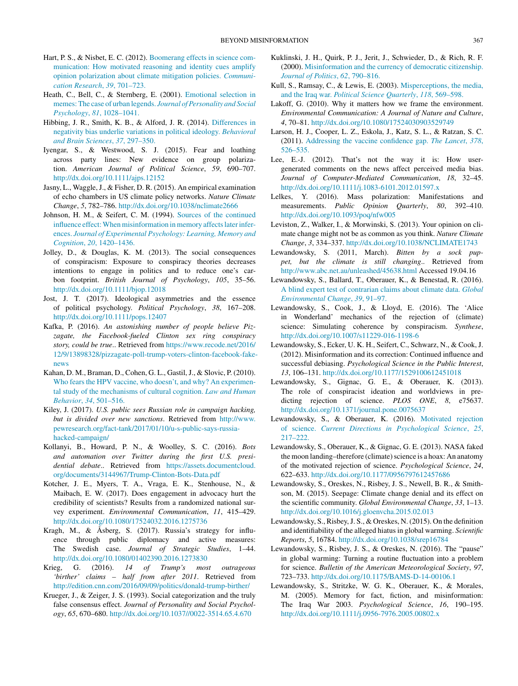- <span id="page-14-0"></span>Hart, P. S., & Nisbet, E. C. (2012). [Boomerang](http://refhub.elsevier.com/S2211-3681(17)30070-0/sbref0295) [effects](http://refhub.elsevier.com/S2211-3681(17)30070-0/sbref0295) [in](http://refhub.elsevier.com/S2211-3681(17)30070-0/sbref0295) [science](http://refhub.elsevier.com/S2211-3681(17)30070-0/sbref0295) [com](http://refhub.elsevier.com/S2211-3681(17)30070-0/sbref0295)[munication:](http://refhub.elsevier.com/S2211-3681(17)30070-0/sbref0295) [How](http://refhub.elsevier.com/S2211-3681(17)30070-0/sbref0295) [motivated](http://refhub.elsevier.com/S2211-3681(17)30070-0/sbref0295) [reasoning](http://refhub.elsevier.com/S2211-3681(17)30070-0/sbref0295) [and](http://refhub.elsevier.com/S2211-3681(17)30070-0/sbref0295) [identity](http://refhub.elsevier.com/S2211-3681(17)30070-0/sbref0295) [cues](http://refhub.elsevier.com/S2211-3681(17)30070-0/sbref0295) [amplify](http://refhub.elsevier.com/S2211-3681(17)30070-0/sbref0295) [opinion](http://refhub.elsevier.com/S2211-3681(17)30070-0/sbref0295) [polarization](http://refhub.elsevier.com/S2211-3681(17)30070-0/sbref0295) [about](http://refhub.elsevier.com/S2211-3681(17)30070-0/sbref0295) [climate](http://refhub.elsevier.com/S2211-3681(17)30070-0/sbref0295) [mitigation](http://refhub.elsevier.com/S2211-3681(17)30070-0/sbref0295) [policies.](http://refhub.elsevier.com/S2211-3681(17)30070-0/sbref0295) *[Communi](http://refhub.elsevier.com/S2211-3681(17)30070-0/sbref0295)[cation](http://refhub.elsevier.com/S2211-3681(17)30070-0/sbref0295) [Research](http://refhub.elsevier.com/S2211-3681(17)30070-0/sbref0295)*[,](http://refhub.elsevier.com/S2211-3681(17)30070-0/sbref0295) *[39](http://refhub.elsevier.com/S2211-3681(17)30070-0/sbref0295)*[,](http://refhub.elsevier.com/S2211-3681(17)30070-0/sbref0295) [701–723.](http://refhub.elsevier.com/S2211-3681(17)30070-0/sbref0295)
- Heath, C., Bell, C., & Sternberg, E. (2001). [Emotional](http://refhub.elsevier.com/S2211-3681(17)30070-0/sbref0300) [selection](http://refhub.elsevier.com/S2211-3681(17)30070-0/sbref0300) [in](http://refhub.elsevier.com/S2211-3681(17)30070-0/sbref0300) [memes:The](http://refhub.elsevier.com/S2211-3681(17)30070-0/sbref0300) [case](http://refhub.elsevier.com/S2211-3681(17)30070-0/sbref0300) [of](http://refhub.elsevier.com/S2211-3681(17)30070-0/sbref0300) [urban](http://refhub.elsevier.com/S2211-3681(17)30070-0/sbref0300) [legends.](http://refhub.elsevier.com/S2211-3681(17)30070-0/sbref0300) *[Journal](http://refhub.elsevier.com/S2211-3681(17)30070-0/sbref0300) [ofPersonality](http://refhub.elsevier.com/S2211-3681(17)30070-0/sbref0300) [and](http://refhub.elsevier.com/S2211-3681(17)30070-0/sbref0300) [Social](http://refhub.elsevier.com/S2211-3681(17)30070-0/sbref0300) [Psychology](http://refhub.elsevier.com/S2211-3681(17)30070-0/sbref0300)*[,](http://refhub.elsevier.com/S2211-3681(17)30070-0/sbref0300) *[81](http://refhub.elsevier.com/S2211-3681(17)30070-0/sbref0300)*[,](http://refhub.elsevier.com/S2211-3681(17)30070-0/sbref0300) [1028–1041.](http://refhub.elsevier.com/S2211-3681(17)30070-0/sbref0300)
- Hibbing, J. R., Smith, K. B., & Alford, J. R. (2014). [Differences](http://refhub.elsevier.com/S2211-3681(17)30070-0/sbref0305) [in](http://refhub.elsevier.com/S2211-3681(17)30070-0/sbref0305) [negativity](http://refhub.elsevier.com/S2211-3681(17)30070-0/sbref0305) [bias](http://refhub.elsevier.com/S2211-3681(17)30070-0/sbref0305) [underlie](http://refhub.elsevier.com/S2211-3681(17)30070-0/sbref0305) [variations](http://refhub.elsevier.com/S2211-3681(17)30070-0/sbref0305) [in](http://refhub.elsevier.com/S2211-3681(17)30070-0/sbref0305) [political](http://refhub.elsevier.com/S2211-3681(17)30070-0/sbref0305) [ideology.](http://refhub.elsevier.com/S2211-3681(17)30070-0/sbref0305) *[Behavioral](http://refhub.elsevier.com/S2211-3681(17)30070-0/sbref0305) [and](http://refhub.elsevier.com/S2211-3681(17)30070-0/sbref0305) [Brain](http://refhub.elsevier.com/S2211-3681(17)30070-0/sbref0305) [Sciences](http://refhub.elsevier.com/S2211-3681(17)30070-0/sbref0305)*[,](http://refhub.elsevier.com/S2211-3681(17)30070-0/sbref0305) *[37](http://refhub.elsevier.com/S2211-3681(17)30070-0/sbref0305)*[,](http://refhub.elsevier.com/S2211-3681(17)30070-0/sbref0305) [297–350.](http://refhub.elsevier.com/S2211-3681(17)30070-0/sbref0305)
- Iyengar, S., & Westwood, S. J. (2015). Fear and loathing across party lines: New evidence on group polarization. *American Journal of Political Science*, *59*, 690–707. [http://dx.doi.org/10.1111/ajps.12152](dx.doi.org/10.1111/ajps.12152)
- Jasny, L., Waggle,J., & Fisher, D. R. (2015). An empirical examination of echo chambers in US climate policy networks. *Nature Climate Change*, *5*, 782–786. [http://dx.doi.org/10.1038/nclimate2666](dx.doi.org/10.1038/nclimate2666)
- Johnson, H. M., & Seifert, C. M. (1994). [Sources](http://refhub.elsevier.com/S2211-3681(17)30070-0/sbref0320) [of](http://refhub.elsevier.com/S2211-3681(17)30070-0/sbref0320) [the](http://refhub.elsevier.com/S2211-3681(17)30070-0/sbref0320) [continued](http://refhub.elsevier.com/S2211-3681(17)30070-0/sbref0320) [influence](http://refhub.elsevier.com/S2211-3681(17)30070-0/sbref0320) effect: When misinformation in memory affects later infer[ences.](http://refhub.elsevier.com/S2211-3681(17)30070-0/sbref0320) *[Journal](http://refhub.elsevier.com/S2211-3681(17)30070-0/sbref0320) [of](http://refhub.elsevier.com/S2211-3681(17)30070-0/sbref0320) [Experimental](http://refhub.elsevier.com/S2211-3681(17)30070-0/sbref0320) [Psychology:](http://refhub.elsevier.com/S2211-3681(17)30070-0/sbref0320) [Learning,](http://refhub.elsevier.com/S2211-3681(17)30070-0/sbref0320) [Memory](http://refhub.elsevier.com/S2211-3681(17)30070-0/sbref0320) [and](http://refhub.elsevier.com/S2211-3681(17)30070-0/sbref0320) [Cognition](http://refhub.elsevier.com/S2211-3681(17)30070-0/sbref0320)*[,](http://refhub.elsevier.com/S2211-3681(17)30070-0/sbref0320) *[20](http://refhub.elsevier.com/S2211-3681(17)30070-0/sbref0320)*[,](http://refhub.elsevier.com/S2211-3681(17)30070-0/sbref0320) [1420](http://refhub.elsevier.com/S2211-3681(17)30070-0/sbref0320)–[1436.](http://refhub.elsevier.com/S2211-3681(17)30070-0/sbref0320)
- Jolley, D., & Douglas, K. M. (2013). The social consequences of conspiracism: Exposure to conspiracy theories decreases intentions to engage in politics and to reduce one's carbon footprint. *British Journal of Psychology*, *105*, 35–56. [http://dx.doi.org/10.1111/bjop.12018](dx.doi.org/10.1111/bjop.12018)
- Jost, J. T. (2017). Ideological asymmetries and the essence of political psychology. *Political Psychology*, *38*, 167–208. [http://dx.doi.org/10.1111/pops.12407](dx.doi.org/10.1111/pops.12407)
- Kafka, P. (2016). *An astonishing number of people believe Pizzagate, the Facebook-fueled Clinton sex ring conspiracy story, could be true*.. Retrieved from [https://www.recode.net/2016/](https://www.recode.net/2016/12/9/13898328/pizzagate-poll-trump-voters-clinton-facebook-fake-news) [12/9/13898328/pizzagate-poll-trump-voters-clinton-facebook-fake](https://www.recode.net/2016/12/9/13898328/pizzagate-poll-trump-voters-clinton-facebook-fake-news)[news](https://www.recode.net/2016/12/9/13898328/pizzagate-poll-trump-voters-clinton-facebook-fake-news)
- Kahan, D. M., Braman, D., Cohen, G. L., Gastil,J., & Slovic, P. (2010). [Who](http://refhub.elsevier.com/S2211-3681(17)30070-0/sbref0340) [fears](http://refhub.elsevier.com/S2211-3681(17)30070-0/sbref0340) [the](http://refhub.elsevier.com/S2211-3681(17)30070-0/sbref0340) [HPV](http://refhub.elsevier.com/S2211-3681(17)30070-0/sbref0340) [vaccine,](http://refhub.elsevier.com/S2211-3681(17)30070-0/sbref0340) [who](http://refhub.elsevier.com/S2211-3681(17)30070-0/sbref0340) [doesn't,](http://refhub.elsevier.com/S2211-3681(17)30070-0/sbref0340) [and](http://refhub.elsevier.com/S2211-3681(17)30070-0/sbref0340) [why?](http://refhub.elsevier.com/S2211-3681(17)30070-0/sbref0340) [An](http://refhub.elsevier.com/S2211-3681(17)30070-0/sbref0340) [experimen](http://refhub.elsevier.com/S2211-3681(17)30070-0/sbref0340)[tal](http://refhub.elsevier.com/S2211-3681(17)30070-0/sbref0340) [study](http://refhub.elsevier.com/S2211-3681(17)30070-0/sbref0340) [of](http://refhub.elsevier.com/S2211-3681(17)30070-0/sbref0340) [the](http://refhub.elsevier.com/S2211-3681(17)30070-0/sbref0340) [mechanisms](http://refhub.elsevier.com/S2211-3681(17)30070-0/sbref0340) [of](http://refhub.elsevier.com/S2211-3681(17)30070-0/sbref0340) [cultural](http://refhub.elsevier.com/S2211-3681(17)30070-0/sbref0340) [cognition.](http://refhub.elsevier.com/S2211-3681(17)30070-0/sbref0340) *[Law](http://refhub.elsevier.com/S2211-3681(17)30070-0/sbref0340) [and](http://refhub.elsevier.com/S2211-3681(17)30070-0/sbref0340) [Human](http://refhub.elsevier.com/S2211-3681(17)30070-0/sbref0340) [Behavior](http://refhub.elsevier.com/S2211-3681(17)30070-0/sbref0340)*[,](http://refhub.elsevier.com/S2211-3681(17)30070-0/sbref0340) *[34](http://refhub.elsevier.com/S2211-3681(17)30070-0/sbref0340)*[,](http://refhub.elsevier.com/S2211-3681(17)30070-0/sbref0340) [501](http://refhub.elsevier.com/S2211-3681(17)30070-0/sbref0340)–[516.](http://refhub.elsevier.com/S2211-3681(17)30070-0/sbref0340)
- Kiley, J. (2017). *U.S. public sees Russian role in campaign hacking, but is divided over new sanctions*. Retrieved from [http://www.](http://www.pewresearch.org/fact-tank/2017/01/10/u-s-public-says-russia-hacked-campaign/) [pewresearch.org/fact-tank/2017/01/10/u-s-public-says-russia](http://www.pewresearch.org/fact-tank/2017/01/10/u-s-public-says-russia-hacked-campaign/)[hacked-campaign/](http://www.pewresearch.org/fact-tank/2017/01/10/u-s-public-says-russia-hacked-campaign/)
- Kollanyi, B., Howard, P. N., & Woolley, S. C. (2016). *Bots and automation over Twitter during the first U.S. presidential debate*.. Retrieved from [https://assets.documentcloud.](https://www.assets.documentcloud.org/documents/3144967/Trump-Clinton-Bots-Data.pdf) [org/documents/3144967/Trump-Clinton-Bots-Data.pdf](https://www.assets.documentcloud.org/documents/3144967/Trump-Clinton-Bots-Data.pdf)
- Kotcher, J. E., Myers, T. A., Vraga, E. K., Stenhouse, N., & Maibach, E. W. (2017). Does engagement in advocacy hurt the credibility of scientists? Results from a randomized national survey experiment. *Environmental Communication*, *11*, 415–429. [http://dx.doi.org/10.1080/17524032.2016.1275736](dx.doi.org/10.1080/17524032.2016.1275736)
- Kragh, M., & Åsberg, S. (2017). Russia's strategy for influence through public diplomacy and active measures: The Swedish case. *Journal of Strategic Studies*, 1–44. [http://dx.doi.org/10.1080/01402390.2016.1273830](dx.doi.org/10.1080/01402390.2016.1273830)
- Krieg, G. (2016). *14 of Trump's most outrageous 'birther' claims – half from after 2011*. Retrieved from [http://edition.cnn.com/2016/09/09/politics/donald-trump-birther/](http://www.edition.cnn.com/2016/09/09/politics/donald-trump-birther/)
- Krueger, J., & Zeiger, J. S. (1993). Social categorization and the truly false consensus effect. *Journal of Personality and Social Psychology*, *65*, 670–680. [http://dx.doi.org/10.1037//0022-3514.65.4.670](dx.doi.org/10.1037//0022-3514.65.4.670)
- Kuklinski, J. H., Quirk, P. J., Jerit, J., Schwieder, D., & Rich, R. F. (2000). [Misinformation](http://refhub.elsevier.com/S2211-3681(17)30070-0/sbref0375) [and](http://refhub.elsevier.com/S2211-3681(17)30070-0/sbref0375) [the](http://refhub.elsevier.com/S2211-3681(17)30070-0/sbref0375) [currency](http://refhub.elsevier.com/S2211-3681(17)30070-0/sbref0375) [of](http://refhub.elsevier.com/S2211-3681(17)30070-0/sbref0375) [democratic](http://refhub.elsevier.com/S2211-3681(17)30070-0/sbref0375) [citizenship.](http://refhub.elsevier.com/S2211-3681(17)30070-0/sbref0375) *[Journal](http://refhub.elsevier.com/S2211-3681(17)30070-0/sbref0375) [of](http://refhub.elsevier.com/S2211-3681(17)30070-0/sbref0375) [Politics](http://refhub.elsevier.com/S2211-3681(17)30070-0/sbref0375)*[,](http://refhub.elsevier.com/S2211-3681(17)30070-0/sbref0375) *[62](http://refhub.elsevier.com/S2211-3681(17)30070-0/sbref0375)*[,](http://refhub.elsevier.com/S2211-3681(17)30070-0/sbref0375) [790–816.](http://refhub.elsevier.com/S2211-3681(17)30070-0/sbref0375)
- Kull, S., Ramsay, C., & Lewis, E. (2003). [Misperceptions,](http://refhub.elsevier.com/S2211-3681(17)30070-0/sbref0380) [the](http://refhub.elsevier.com/S2211-3681(17)30070-0/sbref0380) [media,](http://refhub.elsevier.com/S2211-3681(17)30070-0/sbref0380) [and](http://refhub.elsevier.com/S2211-3681(17)30070-0/sbref0380) [the](http://refhub.elsevier.com/S2211-3681(17)30070-0/sbref0380) [Iraq](http://refhub.elsevier.com/S2211-3681(17)30070-0/sbref0380) [war.](http://refhub.elsevier.com/S2211-3681(17)30070-0/sbref0380) *[Political](http://refhub.elsevier.com/S2211-3681(17)30070-0/sbref0380) [Science](http://refhub.elsevier.com/S2211-3681(17)30070-0/sbref0380) [Quarterly](http://refhub.elsevier.com/S2211-3681(17)30070-0/sbref0380)*[,](http://refhub.elsevier.com/S2211-3681(17)30070-0/sbref0380) *[118](http://refhub.elsevier.com/S2211-3681(17)30070-0/sbref0380)*[,](http://refhub.elsevier.com/S2211-3681(17)30070-0/sbref0380) [569–598.](http://refhub.elsevier.com/S2211-3681(17)30070-0/sbref0380)
- Lakoff, G. (2010). Why it matters how we frame the environment. *Environmental Communication: A Journal of Nature and Culture*, *4*, 70–81. [http://dx.doi.org/10.1080/17524030903529749](dx.doi.org/10.1080/17524030903529749)
- Larson, H. J., Cooper, L. Z., Eskola, J., Katz, S. L., & Ratzan, S. C. (2011). [Addressing](http://refhub.elsevier.com/S2211-3681(17)30070-0/sbref0390) [the](http://refhub.elsevier.com/S2211-3681(17)30070-0/sbref0390) [vaccine](http://refhub.elsevier.com/S2211-3681(17)30070-0/sbref0390) [confidence](http://refhub.elsevier.com/S2211-3681(17)30070-0/sbref0390) [gap.](http://refhub.elsevier.com/S2211-3681(17)30070-0/sbref0390) *[The](http://refhub.elsevier.com/S2211-3681(17)30070-0/sbref0390) [Lancet](http://refhub.elsevier.com/S2211-3681(17)30070-0/sbref0390)*[,](http://refhub.elsevier.com/S2211-3681(17)30070-0/sbref0390) *[378](http://refhub.elsevier.com/S2211-3681(17)30070-0/sbref0390)*[,](http://refhub.elsevier.com/S2211-3681(17)30070-0/sbref0390) [526–535.](http://refhub.elsevier.com/S2211-3681(17)30070-0/sbref0390)
- Lee, E.-J. (2012). That's not the way it is: How usergenerated comments on the news affect perceived media bias. *Journal of Computer-Mediated Communication*, *18*, 32–45. [http://dx.doi.org/10.1111/j.1083-6101.2012.01597.x](dx.doi.org/10.1111/j.1083-6101.2012.01597.x)
- Lelkes, Y. (2016). Mass polarization: Manifestations and measurements. *Public Opinion Quarterly*, *80*, 392–410. [http://dx.doi.org/10.1093/poq/nfw005](dx.doi.org/10.1093/poq/nfw005)
- Leviston, Z., Walker, I., & Morwinski, S. (2013). Your opinion on climate change might not be as common as you think. *Nature Climate Change*, *3*, 334–337. [http://dx.doi.org/10.1038/NCLIMATE1743](dx.doi.org/10.1038/NCLIMATE1743)
- Lewandowsky, S. (2011, March). *Bitten by a sock puppet, but the climate is still changing*.. Retrieved from <http://www.abc.net.au/unleashed/45638.html> Accessed 19.04.16
- Lewandowsky, S., Ballard, T., Oberauer, K., & Benestad, R. (2016). [A](http://refhub.elsevier.com/S2211-3681(17)30070-0/sbref0415) [blind](http://refhub.elsevier.com/S2211-3681(17)30070-0/sbref0415) [expert](http://refhub.elsevier.com/S2211-3681(17)30070-0/sbref0415) [test](http://refhub.elsevier.com/S2211-3681(17)30070-0/sbref0415) [of](http://refhub.elsevier.com/S2211-3681(17)30070-0/sbref0415) [contrarian](http://refhub.elsevier.com/S2211-3681(17)30070-0/sbref0415) [claims](http://refhub.elsevier.com/S2211-3681(17)30070-0/sbref0415) [about](http://refhub.elsevier.com/S2211-3681(17)30070-0/sbref0415) [climate](http://refhub.elsevier.com/S2211-3681(17)30070-0/sbref0415) [data.](http://refhub.elsevier.com/S2211-3681(17)30070-0/sbref0415) *[Global](http://refhub.elsevier.com/S2211-3681(17)30070-0/sbref0415) [Environmental](http://refhub.elsevier.com/S2211-3681(17)30070-0/sbref0415) [Change](http://refhub.elsevier.com/S2211-3681(17)30070-0/sbref0415)*[,](http://refhub.elsevier.com/S2211-3681(17)30070-0/sbref0415) *[39](http://refhub.elsevier.com/S2211-3681(17)30070-0/sbref0415)*[,](http://refhub.elsevier.com/S2211-3681(17)30070-0/sbref0415) [91–97.](http://refhub.elsevier.com/S2211-3681(17)30070-0/sbref0415)
- Lewandowsky, S., Cook, J., & Lloyd, E. (2016). The 'Alice in Wonderland' mechanics of the rejection of (climate) science: Simulating coherence by conspiracism. *Synthese*, [http://dx.doi.org/10.1007/s11229-016-1198-6](dx.doi.org/10.1007/s11229-016-1198-6)
- Lewandowsky, S., Ecker, U. K. H., Seifert, C., Schwarz, N., & Cook, J. (2012). Misinformation and its correction: Continued influence and successful debiasing. *Psychological Science in the Public Interest*, *13*, 106–131. [http://dx.doi.org/10.1177/1529100612451018](dx.doi.org/10.1177/1529100612451018)
- Lewandowsky, S., Gignac, G. E., & Oberauer, K. (2013). The role of conspiracist ideation and worldviews in predicting rejection of science. *PLOS ONE*, *8*, e75637. [http://dx.doi.org/10.1371/journal.pone.0075637](dx.doi.org/10.1371/journal.pone.0075637)
- Lewandowsky, S., & Oberauer, K. (2016). [Motivated](http://refhub.elsevier.com/S2211-3681(17)30070-0/sbref0435) [rejection](http://refhub.elsevier.com/S2211-3681(17)30070-0/sbref0435) [of](http://refhub.elsevier.com/S2211-3681(17)30070-0/sbref0435) [science.](http://refhub.elsevier.com/S2211-3681(17)30070-0/sbref0435) *[Current](http://refhub.elsevier.com/S2211-3681(17)30070-0/sbref0435) [Directions](http://refhub.elsevier.com/S2211-3681(17)30070-0/sbref0435) [in](http://refhub.elsevier.com/S2211-3681(17)30070-0/sbref0435) [Psychological](http://refhub.elsevier.com/S2211-3681(17)30070-0/sbref0435) [Science](http://refhub.elsevier.com/S2211-3681(17)30070-0/sbref0435)*[,](http://refhub.elsevier.com/S2211-3681(17)30070-0/sbref0435) *[25](http://refhub.elsevier.com/S2211-3681(17)30070-0/sbref0435)*[,](http://refhub.elsevier.com/S2211-3681(17)30070-0/sbref0435) [217](http://refhub.elsevier.com/S2211-3681(17)30070-0/sbref0435)–[222.](http://refhub.elsevier.com/S2211-3681(17)30070-0/sbref0435)
- Lewandowsky, S., Oberauer, K., & Gignac, G. E. (2013). NASA faked the moon landing–therefore (climate) science is a hoax: An anatomy of the motivated rejection of science. *Psychological Science*, *24*, 622–633. [http://dx.doi.org/10.1177/0956797612457686](dx.doi.org/10.1177/0956797612457686)
- Lewandowsky, S., Oreskes, N., Risbey, J. S., Newell, B. R., & Smithson, M. (2015). Seepage: Climate change denial and its effect on the scientific community. *Global Environmental Change*, *33*, 1–13. [http://dx.doi.org/10.1016/j.gloenvcha.2015.02.013](dx.doi.org/10.1016/j.gloenvcha.2015.02.013)
- Lewandowsky, S., Risbey,J. S., & Oreskes, N. (2015). On the definition and identifiability of the alleged hiatus in global warming. *Scientific Reports*, *5*, 16784. [http://dx.doi.org/10.1038/srep16784](dx.doi.org/10.1038/srep16784)
- Lewandowsky, S., Risbey, J. S., & Oreskes, N. (2016). The "pause" in global warming: Turning a routine fluctuation into a problem for science. *Bulletin of the American Meteorological Society*, *97*, 723–733. [http://dx.doi.org/10.1175/BAMS-D-14-00106.1](dx.doi.org/10.1175/BAMS-D-14-00106.1)
- Lewandowsky, S., Stritzke, W. G. K., Oberauer, K., & Morales, M. (2005). Memory for fact, fiction, and misinformation: The Iraq War 2003. *Psychological Science*, *16*, 190–195. [http://dx.doi.org/10.1111/j.0956-7976.2005.00802.x](dx.doi.org/10.1111/j.0956-7976.2005.00802.x)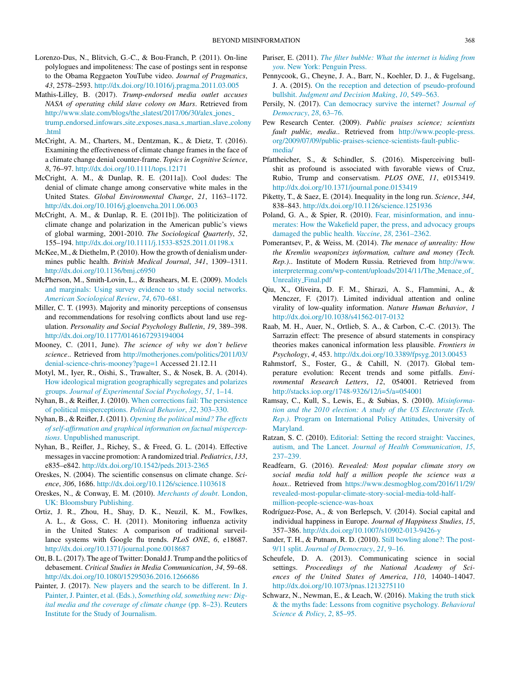- <span id="page-15-0"></span>Lorenzo-Dus, N., Blitvich, G.-C., & Bou-Franch, P. (2011). On-line polylogues and impoliteness: The case of postings sent in response to the Obama Reggaeton YouTube video. *Journal of Pragmatics*, *43*, 2578–2593. [http://dx.doi.org/10.1016/j.pragma.2011.03.005](dx.doi.org/10.1016/j.pragma.2011.03.005)
- Mathis-Lilley, B. (2017). *Trump-endorsed media outlet accuses NASA of operating child slave colony on Mars*. Retrieved from [http://www.slate.com/blogs/the](http://www.slate.com/blogs/the_slatest/2017/06/30/alex_jones_trump_endorsed_infowars_site_exposes_nasa_s_martian_slave_colony.html) slatest/2017/06/30/alex jones trump\_[endorsed](http://www.slate.com/blogs/the_slatest/2017/06/30/alex_jones_trump_endorsed_infowars_site_exposes_nasa_s_martian_slave_colony.html)\_infowars\_site\_exposes\_nasa\_s\_martian\_slave\_colony [.html](http://www.slate.com/blogs/the_slatest/2017/06/30/alex_jones_trump_endorsed_infowars_site_exposes_nasa_s_martian_slave_colony.html)
- McCright, A. M., Charters, M., Dentzman, K., & Dietz, T. (2016). Examining the effectiveness of climate change frames in the face of a climate change denial counter-frame. *Topics in Cognitive Science*, *8*, 76–97. [http://dx.doi.org/10.1111/tops.12171](dx.doi.org/10.1111/tops.12171)
- McCright, A. M., & Dunlap, R. E. (2011a]). Cool dudes: The denial of climate change among conservative white males in the United States. *Global Environmental Change*, *21*, 1163–1172. [http://dx.doi.org/10.1016/j.gloenvcha.2011.06.003](dx.doi.org/10.1016/j.gloenvcha.2011.06.003)
- McCright, A. M., & Dunlap, R. E. (2011b]). The politicization of climate change and polarization in the American public's views of global warming, 2001-2010. *The Sociological Quarterly*, *52*, 155–194. [http://dx.doi.org/10.1111/j.1533-8525.2011.01198.x](dx.doi.org/10.1111/j.1533-8525.2011.01198.x)
- McKee, M., & Diethelm, P. (2010). How the growth of denialism undermines public health. *British Medical Journal*, *341*, 1309–1311. [http://dx.doi.org/10.1136/bmj.c6950](dx.doi.org/10.1136/bmj.c6950)
- McPherson, M., Smith-Lovin, L., & Brashears, M. E. (2009). [Models](http://refhub.elsevier.com/S2211-3681(17)30070-0/sbref0495) [and](http://refhub.elsevier.com/S2211-3681(17)30070-0/sbref0495) [marginals:](http://refhub.elsevier.com/S2211-3681(17)30070-0/sbref0495) [Using](http://refhub.elsevier.com/S2211-3681(17)30070-0/sbref0495) [survey](http://refhub.elsevier.com/S2211-3681(17)30070-0/sbref0495) [evidence](http://refhub.elsevier.com/S2211-3681(17)30070-0/sbref0495) [to](http://refhub.elsevier.com/S2211-3681(17)30070-0/sbref0495) [study](http://refhub.elsevier.com/S2211-3681(17)30070-0/sbref0495) [social](http://refhub.elsevier.com/S2211-3681(17)30070-0/sbref0495) [networks.](http://refhub.elsevier.com/S2211-3681(17)30070-0/sbref0495) *[American](http://refhub.elsevier.com/S2211-3681(17)30070-0/sbref0495) [Sociological](http://refhub.elsevier.com/S2211-3681(17)30070-0/sbref0495) [Review](http://refhub.elsevier.com/S2211-3681(17)30070-0/sbref0495)*[,](http://refhub.elsevier.com/S2211-3681(17)30070-0/sbref0495) *[74](http://refhub.elsevier.com/S2211-3681(17)30070-0/sbref0495)*[,](http://refhub.elsevier.com/S2211-3681(17)30070-0/sbref0495) [670–681.](http://refhub.elsevier.com/S2211-3681(17)30070-0/sbref0495)
- Miller, C. T. (1993). Majority and minority perceptions of consensus and recommendations for resolving conflicts about land use regulation. *Personality and Social Psychology Bulletin*, *19*, 389–398. [http://dx.doi.org/10.1177/0146167293194004](dx.doi.org/10.1177/0146167293194004)
- Mooney, C. (2011, June). *The science of why we don't believe science*.. Retrieved from [http://motherjones.com/politics/2011/03/](http://www.motherjones.com/politics/2011/03/denial-science-chris-mooney?page=1) [denial-science-chris-mooney?page=1](http://www.motherjones.com/politics/2011/03/denial-science-chris-mooney?page=1) Accessed 21.12.11
- Motyl, M., Iyer, R., Oishi, S., Trawalter, S., & Nosek, B. A. (2014). [How](http://refhub.elsevier.com/S2211-3681(17)30070-0/sbref0510) [ideological](http://refhub.elsevier.com/S2211-3681(17)30070-0/sbref0510) [migration](http://refhub.elsevier.com/S2211-3681(17)30070-0/sbref0510) [geographically](http://refhub.elsevier.com/S2211-3681(17)30070-0/sbref0510) [segregates](http://refhub.elsevier.com/S2211-3681(17)30070-0/sbref0510) [and](http://refhub.elsevier.com/S2211-3681(17)30070-0/sbref0510) [polarizes](http://refhub.elsevier.com/S2211-3681(17)30070-0/sbref0510) [groups.](http://refhub.elsevier.com/S2211-3681(17)30070-0/sbref0510) *[Journal](http://refhub.elsevier.com/S2211-3681(17)30070-0/sbref0510) [of](http://refhub.elsevier.com/S2211-3681(17)30070-0/sbref0510) [Experimental](http://refhub.elsevier.com/S2211-3681(17)30070-0/sbref0510) [Social](http://refhub.elsevier.com/S2211-3681(17)30070-0/sbref0510) [Psychology](http://refhub.elsevier.com/S2211-3681(17)30070-0/sbref0510)*[,](http://refhub.elsevier.com/S2211-3681(17)30070-0/sbref0510) *[51](http://refhub.elsevier.com/S2211-3681(17)30070-0/sbref0510)*[,](http://refhub.elsevier.com/S2211-3681(17)30070-0/sbref0510) [1](http://refhub.elsevier.com/S2211-3681(17)30070-0/sbref0510)–[14.](http://refhub.elsevier.com/S2211-3681(17)30070-0/sbref0510)
- Nyhan, B., & Reifler, J. (2010). [When](http://refhub.elsevier.com/S2211-3681(17)30070-0/sbref0515) [corrections](http://refhub.elsevier.com/S2211-3681(17)30070-0/sbref0515) [fail:](http://refhub.elsevier.com/S2211-3681(17)30070-0/sbref0515) [The](http://refhub.elsevier.com/S2211-3681(17)30070-0/sbref0515) [persistence](http://refhub.elsevier.com/S2211-3681(17)30070-0/sbref0515) [of](http://refhub.elsevier.com/S2211-3681(17)30070-0/sbref0515) [political](http://refhub.elsevier.com/S2211-3681(17)30070-0/sbref0515) [misperceptions.](http://refhub.elsevier.com/S2211-3681(17)30070-0/sbref0515) *[Political](http://refhub.elsevier.com/S2211-3681(17)30070-0/sbref0515) [Behavior](http://refhub.elsevier.com/S2211-3681(17)30070-0/sbref0515)*[,](http://refhub.elsevier.com/S2211-3681(17)30070-0/sbref0515) *[32](http://refhub.elsevier.com/S2211-3681(17)30070-0/sbref0515)*[,](http://refhub.elsevier.com/S2211-3681(17)30070-0/sbref0515) [303](http://refhub.elsevier.com/S2211-3681(17)30070-0/sbref0515)–[330.](http://refhub.elsevier.com/S2211-3681(17)30070-0/sbref0515)
- Nyhan, B., & Reifler,J. (2011). *[Opening](http://refhub.elsevier.com/S2211-3681(17)30070-0/sbref0520) [the](http://refhub.elsevier.com/S2211-3681(17)30070-0/sbref0520) [political](http://refhub.elsevier.com/S2211-3681(17)30070-0/sbref0520) [mind?](http://refhub.elsevier.com/S2211-3681(17)30070-0/sbref0520) [The](http://refhub.elsevier.com/S2211-3681(17)30070-0/sbref0520) [effects](http://refhub.elsevier.com/S2211-3681(17)30070-0/sbref0520) [of](http://refhub.elsevier.com/S2211-3681(17)30070-0/sbref0520) [self-affirmation](http://refhub.elsevier.com/S2211-3681(17)30070-0/sbref0520) [and](http://refhub.elsevier.com/S2211-3681(17)30070-0/sbref0520) [graphical](http://refhub.elsevier.com/S2211-3681(17)30070-0/sbref0520) [information](http://refhub.elsevier.com/S2211-3681(17)30070-0/sbref0520) [on](http://refhub.elsevier.com/S2211-3681(17)30070-0/sbref0520) [factual](http://refhub.elsevier.com/S2211-3681(17)30070-0/sbref0520) [mispercep](http://refhub.elsevier.com/S2211-3681(17)30070-0/sbref0520)[tions](http://refhub.elsevier.com/S2211-3681(17)30070-0/sbref0520)*[.](http://refhub.elsevier.com/S2211-3681(17)30070-0/sbref0520) [Unpublished](http://refhub.elsevier.com/S2211-3681(17)30070-0/sbref0520) [manuscript.](http://refhub.elsevier.com/S2211-3681(17)30070-0/sbref0520)
- Nyhan, B., Reifler, J., Richey, S., & Freed, G. L. (2014). Effective messagesin vaccine promotion: A randomized trial. *Pediatrics*, *133*, e835–e842. [http://dx.doi.org/10.1542/peds.2013-2365](dx.doi.org/10.1542/peds.2013-2365)
- Oreskes, N. (2004). The scientific consensus on climate change. *Science*, *306*, 1686. [http://dx.doi.org/10.1126/science.1103618](dx.doi.org/10.1126/science.1103618)
- Oreskes, N., & Conway, E. M. (2010). *[Merchants](http://refhub.elsevier.com/S2211-3681(17)30070-0/sbref0535) [of](http://refhub.elsevier.com/S2211-3681(17)30070-0/sbref0535) [doubt](http://refhub.elsevier.com/S2211-3681(17)30070-0/sbref0535)*[.](http://refhub.elsevier.com/S2211-3681(17)30070-0/sbref0535) [London,](http://refhub.elsevier.com/S2211-3681(17)30070-0/sbref0535) [UK:](http://refhub.elsevier.com/S2211-3681(17)30070-0/sbref0535) [Bloomsbury](http://refhub.elsevier.com/S2211-3681(17)30070-0/sbref0535) [Publishing.](http://refhub.elsevier.com/S2211-3681(17)30070-0/sbref0535)
- Ortiz, J. R., Zhou, H., Shay, D. K., Neuzil, K. M., Fowlkes, A. L., & Goss, C. H. (2011). Monitoring influenza activity in the United States: A comparison of traditional surveillance systems with Google flu trends. *PLoS ONE*, *6*, e18687. [http://dx.doi.org/10.1371/journal.pone.0018687](dx.doi.org/10.1371/journal.pone.0018687)
- Ott,B. L.(2017). The age of Twitter: Donald J. Trump and the politics of debasement. *Critical Studies in Media Communication*, *34*, 59–68. [http://dx.doi.org/10.1080/15295036.2016.1266686](dx.doi.org/10.1080/15295036.2016.1266686)
- Painter, J. (2017). [New](http://refhub.elsevier.com/S2211-3681(17)30070-0/sbref0550) [players](http://refhub.elsevier.com/S2211-3681(17)30070-0/sbref0550) [and](http://refhub.elsevier.com/S2211-3681(17)30070-0/sbref0550) [the](http://refhub.elsevier.com/S2211-3681(17)30070-0/sbref0550) [search](http://refhub.elsevier.com/S2211-3681(17)30070-0/sbref0550) [to](http://refhub.elsevier.com/S2211-3681(17)30070-0/sbref0550) [be](http://refhub.elsevier.com/S2211-3681(17)30070-0/sbref0550) [different.](http://refhub.elsevier.com/S2211-3681(17)30070-0/sbref0550) [In](http://refhub.elsevier.com/S2211-3681(17)30070-0/sbref0550) [J.](http://refhub.elsevier.com/S2211-3681(17)30070-0/sbref0550) [Painter,](http://refhub.elsevier.com/S2211-3681(17)30070-0/sbref0550) [J.](http://refhub.elsevier.com/S2211-3681(17)30070-0/sbref0550) [Painter,](http://refhub.elsevier.com/S2211-3681(17)30070-0/sbref0550) [et](http://refhub.elsevier.com/S2211-3681(17)30070-0/sbref0550) [al.](http://refhub.elsevier.com/S2211-3681(17)30070-0/sbref0550) [\(Eds.\),](http://refhub.elsevier.com/S2211-3681(17)30070-0/sbref0550) *[Something](http://refhub.elsevier.com/S2211-3681(17)30070-0/sbref0550) [old,](http://refhub.elsevier.com/S2211-3681(17)30070-0/sbref0550) [something](http://refhub.elsevier.com/S2211-3681(17)30070-0/sbref0550) [new:](http://refhub.elsevier.com/S2211-3681(17)30070-0/sbref0550) [Dig](http://refhub.elsevier.com/S2211-3681(17)30070-0/sbref0550)[ital](http://refhub.elsevier.com/S2211-3681(17)30070-0/sbref0550) [media](http://refhub.elsevier.com/S2211-3681(17)30070-0/sbref0550) [and](http://refhub.elsevier.com/S2211-3681(17)30070-0/sbref0550) [the](http://refhub.elsevier.com/S2211-3681(17)30070-0/sbref0550) [coverage](http://refhub.elsevier.com/S2211-3681(17)30070-0/sbref0550) [of](http://refhub.elsevier.com/S2211-3681(17)30070-0/sbref0550) [climate](http://refhub.elsevier.com/S2211-3681(17)30070-0/sbref0550) [change](http://refhub.elsevier.com/S2211-3681(17)30070-0/sbref0550)* [\(pp.](http://refhub.elsevier.com/S2211-3681(17)30070-0/sbref0550) [8–23\).](http://refhub.elsevier.com/S2211-3681(17)30070-0/sbref0550) [Reuters](http://refhub.elsevier.com/S2211-3681(17)30070-0/sbref0550) [Institute](http://refhub.elsevier.com/S2211-3681(17)30070-0/sbref0550) [for](http://refhub.elsevier.com/S2211-3681(17)30070-0/sbref0550) [the](http://refhub.elsevier.com/S2211-3681(17)30070-0/sbref0550) [Study](http://refhub.elsevier.com/S2211-3681(17)30070-0/sbref0550) [of](http://refhub.elsevier.com/S2211-3681(17)30070-0/sbref0550) [Journalism.](http://refhub.elsevier.com/S2211-3681(17)30070-0/sbref0550)
- Pariser, E. (2011). *[The](http://refhub.elsevier.com/S2211-3681(17)30070-0/sbref0555) [filter](http://refhub.elsevier.com/S2211-3681(17)30070-0/sbref0555) [bubble:](http://refhub.elsevier.com/S2211-3681(17)30070-0/sbref0555) [What](http://refhub.elsevier.com/S2211-3681(17)30070-0/sbref0555) [the](http://refhub.elsevier.com/S2211-3681(17)30070-0/sbref0555) [internet](http://refhub.elsevier.com/S2211-3681(17)30070-0/sbref0555) [is](http://refhub.elsevier.com/S2211-3681(17)30070-0/sbref0555) [hiding](http://refhub.elsevier.com/S2211-3681(17)30070-0/sbref0555) [from](http://refhub.elsevier.com/S2211-3681(17)30070-0/sbref0555) [you](http://refhub.elsevier.com/S2211-3681(17)30070-0/sbref0555)*[.](http://refhub.elsevier.com/S2211-3681(17)30070-0/sbref0555) [New](http://refhub.elsevier.com/S2211-3681(17)30070-0/sbref0555) [York:](http://refhub.elsevier.com/S2211-3681(17)30070-0/sbref0555) [Penguin](http://refhub.elsevier.com/S2211-3681(17)30070-0/sbref0555) [Press.](http://refhub.elsevier.com/S2211-3681(17)30070-0/sbref0555)
- Pennycook, G., Cheyne, J. A., Barr, N., Koehler, D. J., & Fugelsang, J. A. (2015). [On](http://refhub.elsevier.com/S2211-3681(17)30070-0/sbref0560) [the](http://refhub.elsevier.com/S2211-3681(17)30070-0/sbref0560) [reception](http://refhub.elsevier.com/S2211-3681(17)30070-0/sbref0560) [and](http://refhub.elsevier.com/S2211-3681(17)30070-0/sbref0560) [detection](http://refhub.elsevier.com/S2211-3681(17)30070-0/sbref0560) [of](http://refhub.elsevier.com/S2211-3681(17)30070-0/sbref0560) [pseudo-profound](http://refhub.elsevier.com/S2211-3681(17)30070-0/sbref0560) [bullshit.](http://refhub.elsevier.com/S2211-3681(17)30070-0/sbref0560) *[Judgment](http://refhub.elsevier.com/S2211-3681(17)30070-0/sbref0560) [and](http://refhub.elsevier.com/S2211-3681(17)30070-0/sbref0560) [Decision](http://refhub.elsevier.com/S2211-3681(17)30070-0/sbref0560) [Making](http://refhub.elsevier.com/S2211-3681(17)30070-0/sbref0560)*[,](http://refhub.elsevier.com/S2211-3681(17)30070-0/sbref0560) *[10](http://refhub.elsevier.com/S2211-3681(17)30070-0/sbref0560)*[,](http://refhub.elsevier.com/S2211-3681(17)30070-0/sbref0560) [549–563.](http://refhub.elsevier.com/S2211-3681(17)30070-0/sbref0560)
- Persily, N. (2017). [Can](http://refhub.elsevier.com/S2211-3681(17)30070-0/sbref0565) [democracy](http://refhub.elsevier.com/S2211-3681(17)30070-0/sbref0565) [survive](http://refhub.elsevier.com/S2211-3681(17)30070-0/sbref0565) [the](http://refhub.elsevier.com/S2211-3681(17)30070-0/sbref0565) [internet?](http://refhub.elsevier.com/S2211-3681(17)30070-0/sbref0565) *[Journal](http://refhub.elsevier.com/S2211-3681(17)30070-0/sbref0565) [of](http://refhub.elsevier.com/S2211-3681(17)30070-0/sbref0565) [Democracy](http://refhub.elsevier.com/S2211-3681(17)30070-0/sbref0565)*[,](http://refhub.elsevier.com/S2211-3681(17)30070-0/sbref0565) *[28](http://refhub.elsevier.com/S2211-3681(17)30070-0/sbref0565)*[,](http://refhub.elsevier.com/S2211-3681(17)30070-0/sbref0565) [63–76.](http://refhub.elsevier.com/S2211-3681(17)30070-0/sbref0565)
- Pew Research Center. (2009). *Public praises science; scientists fault public, media*.. Retrieved from [http://www.people-press.](http://www.people-press.org/2009/07/09/public-praises-science-scientists-fault-public-media/) [org/2009/07/09/public-praises-science-scientists-fault-public](http://www.people-press.org/2009/07/09/public-praises-science-scientists-fault-public-media/)[media/](http://www.people-press.org/2009/07/09/public-praises-science-scientists-fault-public-media/)
- Pfattheicher, S., & Schindler, S. (2016). Misperceiving bullshit as profound is associated with favorable views of Cruz, Rubio, Trump and conservatism. *PLOS ONE*, *11*, e0153419. [http://dx.doi.org/10.1371/journal.pone.0153419](dx.doi.org/10.1371/journal.pone.0153419)
- Piketty, T., & Saez, E. (2014). Inequality in the long run. *Science*, *344*, 838–843. [http://dx.doi.org/10.1126/science.1251936](dx.doi.org/10.1126/science.1251936)
- Poland, G. A., & Spier, R. (2010). [Fear,](http://refhub.elsevier.com/S2211-3681(17)30070-0/sbref0585) [misinformation,](http://refhub.elsevier.com/S2211-3681(17)30070-0/sbref0585) [and](http://refhub.elsevier.com/S2211-3681(17)30070-0/sbref0585) [innu](http://refhub.elsevier.com/S2211-3681(17)30070-0/sbref0585)[merates:](http://refhub.elsevier.com/S2211-3681(17)30070-0/sbref0585) [How](http://refhub.elsevier.com/S2211-3681(17)30070-0/sbref0585) [the](http://refhub.elsevier.com/S2211-3681(17)30070-0/sbref0585) [Wakefield](http://refhub.elsevier.com/S2211-3681(17)30070-0/sbref0585) [paper,](http://refhub.elsevier.com/S2211-3681(17)30070-0/sbref0585) [the](http://refhub.elsevier.com/S2211-3681(17)30070-0/sbref0585) [press,](http://refhub.elsevier.com/S2211-3681(17)30070-0/sbref0585) [and](http://refhub.elsevier.com/S2211-3681(17)30070-0/sbref0585) [advocacy](http://refhub.elsevier.com/S2211-3681(17)30070-0/sbref0585) [groups](http://refhub.elsevier.com/S2211-3681(17)30070-0/sbref0585) [damaged](http://refhub.elsevier.com/S2211-3681(17)30070-0/sbref0585) [the](http://refhub.elsevier.com/S2211-3681(17)30070-0/sbref0585) [public](http://refhub.elsevier.com/S2211-3681(17)30070-0/sbref0585) [health.](http://refhub.elsevier.com/S2211-3681(17)30070-0/sbref0585) *[Vaccine](http://refhub.elsevier.com/S2211-3681(17)30070-0/sbref0585)*[,](http://refhub.elsevier.com/S2211-3681(17)30070-0/sbref0585) *[28](http://refhub.elsevier.com/S2211-3681(17)30070-0/sbref0585)*[,](http://refhub.elsevier.com/S2211-3681(17)30070-0/sbref0585) [2361](http://refhub.elsevier.com/S2211-3681(17)30070-0/sbref0585)–[2362.](http://refhub.elsevier.com/S2211-3681(17)30070-0/sbref0585)
- Pomerantsev, P., & Weiss, M. (2014). *The menace of unreality: How the Kremlin weaponizes information, culture and money (Tech. Rep.)*.. Institute of Modern Russia. Retrieved from [http://www.](http://www.interpretermag.com/wp-content/uploads/2014/11/The_Menace_of_Unreality_Final.pdf) [interpretermag.com/wp-content/uploads/2014/11/The](http://www.interpretermag.com/wp-content/uploads/2014/11/The_Menace_of_Unreality_Final.pdf)\_Menace\_of\_ [Unreality](http://www.interpretermag.com/wp-content/uploads/2014/11/The_Menace_of_Unreality_Final.pdf) Final.pdf
- Qiu, X., Oliveira, D. F. M., Shirazi, A. S., Flammini, A., & Menczer, F. (2017). Limited individual attention and online virality of low-quality information. *Nature Human Behavior*, *1* [http://dx.doi.org/10.1038/s41562-017-0132](dx.doi.org/10.1038/s41562-017-0132)
- Raab, M. H., Auer, N., Ortlieb, S. A., & Carbon, C.-C. (2013). The Sarrazin effect: The presence of absurd statements in conspiracy theories makes canonical information less plausible. *Frontiers in Psychology*, *4*, 453. [http://dx.doi.org/10.3389/fpsyg.2013.00453](dx.doi.org/10.3389/fpsyg.2013.00453)
- Rahmstorf, S., Foster, G., & Cahill, N. (2017). Global temperature evolution: Recent trends and some pitfalls. *Environmental Research Letters*, *12*, 054001. Retrieved from [http://stacks.iop.org/1748-9326/12/i=5/a=054001](http://www.stacks.iop.org/1748-9326/12/i=5/a=054001)
- Ramsay, C., Kull, S., Lewis, E., & Subias, S. (2010). *[Misinforma](http://refhub.elsevier.com/S2211-3681(17)30070-0/sbref0610)[tion](http://refhub.elsevier.com/S2211-3681(17)30070-0/sbref0610) [and](http://refhub.elsevier.com/S2211-3681(17)30070-0/sbref0610) [the](http://refhub.elsevier.com/S2211-3681(17)30070-0/sbref0610) [2010](http://refhub.elsevier.com/S2211-3681(17)30070-0/sbref0610) [election:](http://refhub.elsevier.com/S2211-3681(17)30070-0/sbref0610) [A](http://refhub.elsevier.com/S2211-3681(17)30070-0/sbref0610) [study](http://refhub.elsevier.com/S2211-3681(17)30070-0/sbref0610) [of](http://refhub.elsevier.com/S2211-3681(17)30070-0/sbref0610) [the](http://refhub.elsevier.com/S2211-3681(17)30070-0/sbref0610) [US](http://refhub.elsevier.com/S2211-3681(17)30070-0/sbref0610) [Electorate](http://refhub.elsevier.com/S2211-3681(17)30070-0/sbref0610) [\(Tech.](http://refhub.elsevier.com/S2211-3681(17)30070-0/sbref0610) [Rep.\)](http://refhub.elsevier.com/S2211-3681(17)30070-0/sbref0610)*[.](http://refhub.elsevier.com/S2211-3681(17)30070-0/sbref0610) [Program](http://refhub.elsevier.com/S2211-3681(17)30070-0/sbref0610) [on](http://refhub.elsevier.com/S2211-3681(17)30070-0/sbref0610) [International](http://refhub.elsevier.com/S2211-3681(17)30070-0/sbref0610) [Policy](http://refhub.elsevier.com/S2211-3681(17)30070-0/sbref0610) [Attitudes,](http://refhub.elsevier.com/S2211-3681(17)30070-0/sbref0610) [University](http://refhub.elsevier.com/S2211-3681(17)30070-0/sbref0610) [of](http://refhub.elsevier.com/S2211-3681(17)30070-0/sbref0610) [Maryland.](http://refhub.elsevier.com/S2211-3681(17)30070-0/sbref0610)
- Ratzan, S. C. (2010). [Editorial:](http://refhub.elsevier.com/S2211-3681(17)30070-0/sbref0615) [Setting](http://refhub.elsevier.com/S2211-3681(17)30070-0/sbref0615) [the](http://refhub.elsevier.com/S2211-3681(17)30070-0/sbref0615) [record](http://refhub.elsevier.com/S2211-3681(17)30070-0/sbref0615) [straight:](http://refhub.elsevier.com/S2211-3681(17)30070-0/sbref0615) [Vaccines,](http://refhub.elsevier.com/S2211-3681(17)30070-0/sbref0615) [autism,](http://refhub.elsevier.com/S2211-3681(17)30070-0/sbref0615) [and](http://refhub.elsevier.com/S2211-3681(17)30070-0/sbref0615) [The](http://refhub.elsevier.com/S2211-3681(17)30070-0/sbref0615) [Lancet.](http://refhub.elsevier.com/S2211-3681(17)30070-0/sbref0615) *[Journal](http://refhub.elsevier.com/S2211-3681(17)30070-0/sbref0615) [of](http://refhub.elsevier.com/S2211-3681(17)30070-0/sbref0615) [Health](http://refhub.elsevier.com/S2211-3681(17)30070-0/sbref0615) [Communication](http://refhub.elsevier.com/S2211-3681(17)30070-0/sbref0615)*[,](http://refhub.elsevier.com/S2211-3681(17)30070-0/sbref0615) *[15](http://refhub.elsevier.com/S2211-3681(17)30070-0/sbref0615)*[,](http://refhub.elsevier.com/S2211-3681(17)30070-0/sbref0615) [237](http://refhub.elsevier.com/S2211-3681(17)30070-0/sbref0615)–[239.](http://refhub.elsevier.com/S2211-3681(17)30070-0/sbref0615)
- Readfearn, G. (2016). *Revealed: Most popular climate story on social media told half a million people the science was a hoax*.. Retrieved from [https://www.desmogblog.com/2016/11/29/](https://www.desmogblog.com/2016/11/29/revealed-most-popular-climate-story-social-media-told-half-million-people-science-was-hoax) [revealed-most-popular-climate-story-social-media-told-half](https://www.desmogblog.com/2016/11/29/revealed-most-popular-climate-story-social-media-told-half-million-people-science-was-hoax)[million-people-science-was-hoax](https://www.desmogblog.com/2016/11/29/revealed-most-popular-climate-story-social-media-told-half-million-people-science-was-hoax)
- Rodríguez-Pose, A., & von Berlepsch, V. (2014). Social capital and individual happiness in Europe. *Journal of Happiness Studies*, *15*, 357–386. [http://dx.doi.org/10.1007/s10902-013-9426-y](dx.doi.org/10.1007/s10902-013-9426-y)
- Sander, T. H., & Putnam, R. D. (2010). [Still](http://refhub.elsevier.com/S2211-3681(17)30070-0/sbref0630) [bowling](http://refhub.elsevier.com/S2211-3681(17)30070-0/sbref0630) [alone?:](http://refhub.elsevier.com/S2211-3681(17)30070-0/sbref0630) [The](http://refhub.elsevier.com/S2211-3681(17)30070-0/sbref0630) [post-](http://refhub.elsevier.com/S2211-3681(17)30070-0/sbref0630)[9/11](http://refhub.elsevier.com/S2211-3681(17)30070-0/sbref0630) [split.](http://refhub.elsevier.com/S2211-3681(17)30070-0/sbref0630) *[Journal](http://refhub.elsevier.com/S2211-3681(17)30070-0/sbref0630) [of](http://refhub.elsevier.com/S2211-3681(17)30070-0/sbref0630) [Democracy](http://refhub.elsevier.com/S2211-3681(17)30070-0/sbref0630)*[,](http://refhub.elsevier.com/S2211-3681(17)30070-0/sbref0630) *[21](http://refhub.elsevier.com/S2211-3681(17)30070-0/sbref0630)*[,](http://refhub.elsevier.com/S2211-3681(17)30070-0/sbref0630) [9–16.](http://refhub.elsevier.com/S2211-3681(17)30070-0/sbref0630)
- Scheufele, D. A. (2013). Communicating science in social settings. *Proceedings of the National Academy of Sciences of the United States of America*, *110*, 14040–14047. [http://dx.doi.org/10.1073/pnas.1213275110](dx.doi.org/10.1073/pnas.1213275110)
- Schwarz, N., Newman, E., & Leach, W. (2016). [Making](http://refhub.elsevier.com/S2211-3681(17)30070-0/sbref0640) [the](http://refhub.elsevier.com/S2211-3681(17)30070-0/sbref0640) [truth](http://refhub.elsevier.com/S2211-3681(17)30070-0/sbref0640) [stick](http://refhub.elsevier.com/S2211-3681(17)30070-0/sbref0640) [&](http://refhub.elsevier.com/S2211-3681(17)30070-0/sbref0640) [the](http://refhub.elsevier.com/S2211-3681(17)30070-0/sbref0640) [myths](http://refhub.elsevier.com/S2211-3681(17)30070-0/sbref0640) [fade:](http://refhub.elsevier.com/S2211-3681(17)30070-0/sbref0640) [Lessons](http://refhub.elsevier.com/S2211-3681(17)30070-0/sbref0640) [from](http://refhub.elsevier.com/S2211-3681(17)30070-0/sbref0640) [cognitive](http://refhub.elsevier.com/S2211-3681(17)30070-0/sbref0640) [psychology.](http://refhub.elsevier.com/S2211-3681(17)30070-0/sbref0640) *[Behavioral](http://refhub.elsevier.com/S2211-3681(17)30070-0/sbref0640) [Science](http://refhub.elsevier.com/S2211-3681(17)30070-0/sbref0640) [&](http://refhub.elsevier.com/S2211-3681(17)30070-0/sbref0640) [Policy](http://refhub.elsevier.com/S2211-3681(17)30070-0/sbref0640)*[,](http://refhub.elsevier.com/S2211-3681(17)30070-0/sbref0640) *[2](http://refhub.elsevier.com/S2211-3681(17)30070-0/sbref0640)*[,](http://refhub.elsevier.com/S2211-3681(17)30070-0/sbref0640) [85](http://refhub.elsevier.com/S2211-3681(17)30070-0/sbref0640)–[95.](http://refhub.elsevier.com/S2211-3681(17)30070-0/sbref0640)